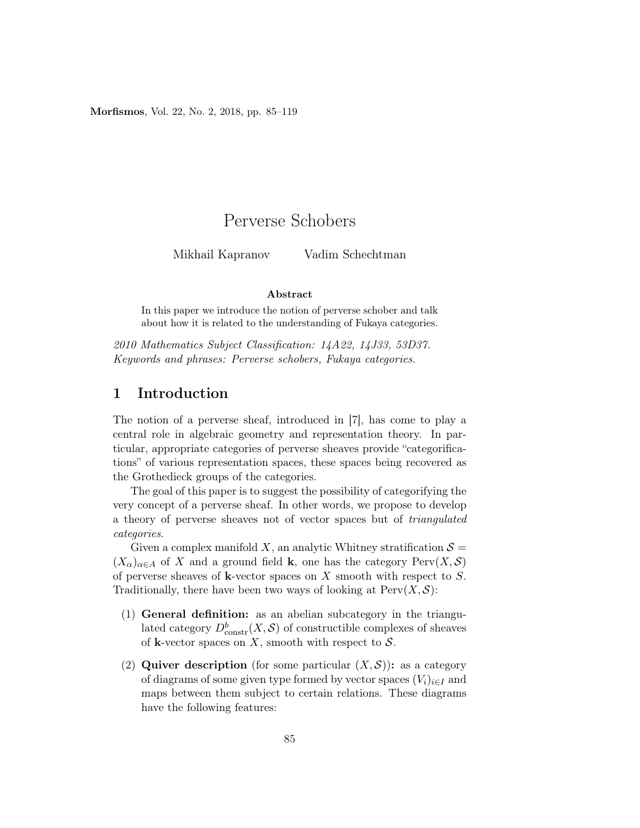Morfismos, Vol. 22, No. 2, 2018, pp. 85–119

# Perverse Schobers

Mikhail Kapranov Vadim Schechtman

#### Abstract

In this paper we introduce the notion of perverse schober and talk about how it is related to the understanding of Fukaya categories.

2010 Mathematics Subject Classification: 14A22, 14J33, 53D37. Keywords and phrases: Perverse schobers, Fukaya categories.

## 1 Introduction

The notion of a perverse sheaf, introduced in [7], has come to play a central role in algebraic geometry and representation theory. In particular, appropriate categories of perverse sheaves provide "categorifications" of various representation spaces, these spaces being recovered as the Grothedieck groups of the categories.

The goal of this paper is to suggest the possibility of categorifying the very concept of a perverse sheaf. In other words, we propose to develop a theory of perverse sheaves not of vector spaces but of triangulated categories.

Given a complex manifold X, an analytic Whitney stratification  $S =$  $(X_{\alpha})_{\alpha\in A}$  of X and a ground field **k**, one has the category Perv $(X, \mathcal{S})$ of perverse sheaves of k-vector spaces on  $X$  smooth with respect to  $S$ . Traditionally, there have been two ways of looking at  $Perv(X, \mathcal{S})$ :

- (1) General definition: as an abelian subcategory in the triangulated category  $D^b_{\text{constr}}(X, \mathcal{S})$  of constructible complexes of sheaves of **k**-vector spaces on X, smooth with respect to  $S$ .
- (2) Quiver description (for some particular  $(X, \mathcal{S})$ ): as a category of diagrams of some given type formed by vector spaces  $(V_i)_{i\in I}$  and maps between them subject to certain relations. These diagrams have the following features: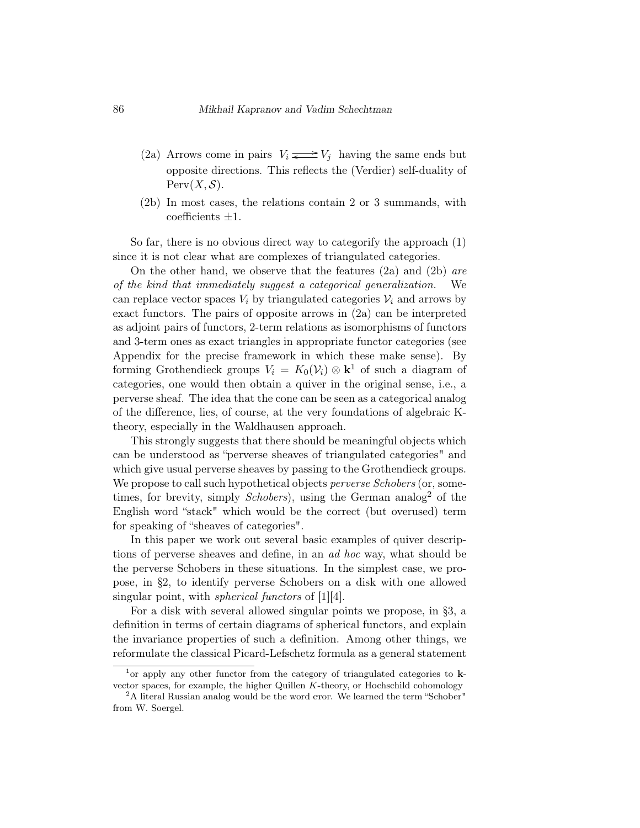- (2a) Arrows come in pairs  $V_i \rightleftharpoons V_j$  having the same ends but opposite directions. This reflects the (Verdier) self-duality of  $Perv(X, S)$ .
- (2b) In most cases, the relations contain 2 or 3 summands, with coefficients  $\pm 1$ .

So far, there is no obvious direct way to categorify the approach (1) since it is not clear what are complexes of triangulated categories.

On the other hand, we observe that the features (2a) and (2b) are of the kind that immediately suggest a categorical generalization. We can replace vector spaces  $V_i$  by triangulated categories  $V_i$  and arrows by exact functors. The pairs of opposite arrows in (2a) can be interpreted as adjoint pairs of functors, 2-term relations as isomorphisms of functors and 3-term ones as exact triangles in appropriate functor categories (see Appendix for the precise framework in which these make sense). By forming Grothendieck groups  $V_i = K_0(\mathcal{V}_i) \otimes \mathbf{k}^1$  of such a diagram of categories, one would then obtain a quiver in the original sense, i.e., a perverse sheaf. The idea that the cone can be seen as a categorical analog of the difference, lies, of course, at the very foundations of algebraic Ktheory, especially in the Waldhausen approach.

This strongly suggests that there should be meaningful objects which can be understood as "perverse sheaves of triangulated categories" and which give usual perverse sheaves by passing to the Grothendieck groups. We propose to call such hypothetical objects perverse Schobers (or, sometimes, for brevity, simply *Schobers*), using the German analog<sup>2</sup> of the English word "stack" which would be the correct (but overused) term for speaking of "sheaves of categories".

In this paper we work out several basic examples of quiver descriptions of perverse sheaves and define, in an ad hoc way, what should be the perverse Schobers in these situations. In the simplest case, we propose, in §2, to identify perverse Schobers on a disk with one allowed singular point, with *spherical functors* of [1][4].

For a disk with several allowed singular points we propose, in §3, a definition in terms of certain diagrams of spherical functors, and explain the invariance properties of such a definition. Among other things, we reformulate the classical Picard-Lefschetz formula as a general statement

<sup>&</sup>lt;sup>1</sup> or apply any other functor from the category of triangulated categories to **k**vector spaces, for example, the higher Quillen  $K$ -theory, or Hochschild cohomology

<sup>&</sup>lt;sup>2</sup>A literal Russian analog would be the word cror. We learned the term "Schober" from W. Soergel.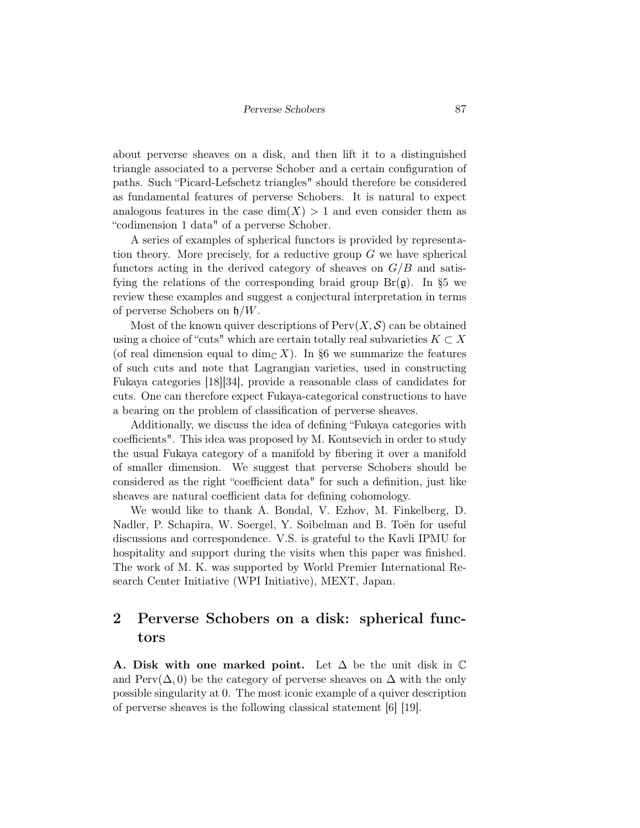about perverse sheaves on a disk, and then lift it to a distinguished triangle associated to a perverse Schober and a certain configuration of paths. Such "Picard-Lefschetz triangles" should therefore be considered as fundamental features of perverse Schobers. It is natural to expect analogous features in the case  $\dim(X) > 1$  and even consider them as "codimension 1 data" of a perverse Schober.

A series of examples of spherical functors is provided by representation theory. More precisely, for a reductive group  $G$  we have spherical functors acting in the derived category of sheaves on  $G/B$  and satisfying the relations of the corresponding braid group  $Br(\mathfrak{g})$ . In §5 we review these examples and suggest a conjectural interpretation in terms of perverse Schobers on  $\mathfrak{h}/W$ .

Most of the known quiver descriptions of  $Perv(X, \mathcal{S})$  can be obtained using a choice of "cuts" which are certain totally real subvarieties  $K \subset X$ (of real dimension equal to dim<sub>C</sub> X). In §6 we summarize the features of such cuts and note that Lagrangian varieties, used in constructing Fukaya categories [18][34], provide a reasonable class of candidates for cuts. One can therefore expect Fukaya-categorical constructions to have a bearing on the problem of classification of perverse sheaves.

Additionally, we discuss the idea of defining "Fukaya categories with coefficients". This idea was proposed by M. Kontsevich in order to study the usual Fukaya category of a manifold by fibering it over a manifold of smaller dimension. We suggest that perverse Schobers should be considered as the right "coefficient data" for such a definition, just like sheaves are natural coefficient data for defining cohomology.

We would like to thank A. Bondal, V. Ezhov, M. Finkelberg, D. Nadler, P. Schapira, W. Soergel, Y. Soibelman and B. Toën for useful discussions and correspondence. V.S. is grateful to the Kavli IPMU for hospitality and support during the visits when this paper was finished. The work of M. K. was supported by World Premier International Research Center Initiative (WPI Initiative), MEXT, Japan.

## 2 Perverse Schobers on a disk: spherical functors

A. Disk with one marked point. Let  $\Delta$  be the unit disk in  $\mathbb C$ and Perv( $\Delta$ , 0) be the category of perverse sheaves on  $\Delta$  with the only possible singularity at 0. The most iconic example of a quiver description of perverse sheaves is the following classical statement [6] [19].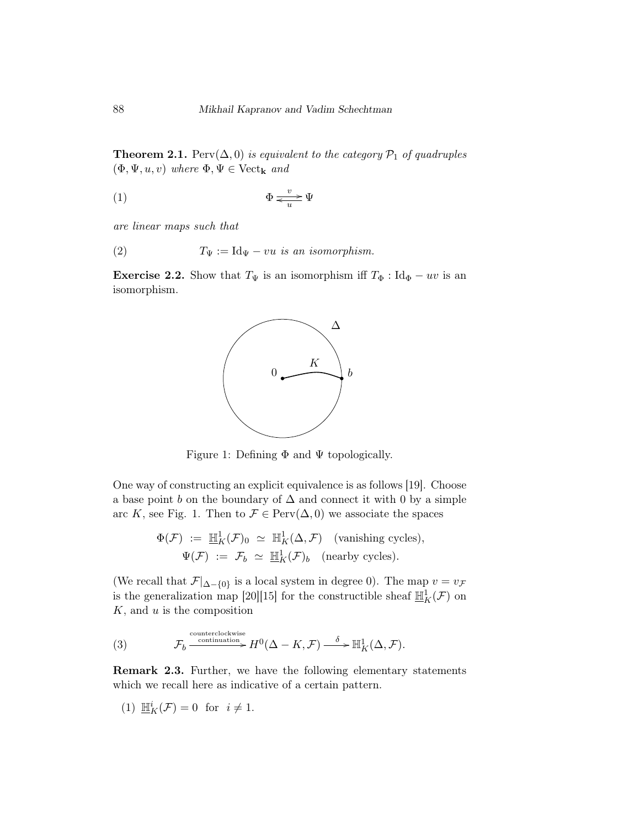**Theorem 2.1.** Perv $(\Delta, 0)$  is equivalent to the category  $\mathcal{P}_1$  of quadruples  $(\Phi, \Psi, u, v)$  where  $\Phi, \Psi \in \text{Vect}_k$  and

$$
\Phi \xrightarrow{v} \Psi
$$

are linear maps such that

(2) 
$$
T_{\Psi} := \text{Id}_{\Psi} - vu \text{ is an isomorphism.}
$$

**Exercise 2.2.** Show that  $T_{\Psi}$  is an isomorphism iff  $T_{\Phi}$  : Id<sub> $\Phi$ </sub> – uv is an isomorphism.



Figure 1: Defining  $\Phi$  and  $\Psi$  topologically.

One way of constructing an explicit equivalence is as follows [19]. Choose a base point  $b$  on the boundary of  $\Delta$  and connect it with 0 by a simple arc K, see Fig. 1. Then to  $\mathcal{F} \in \text{Perv}(\Delta, 0)$  we associate the spaces

$$
\Phi(\mathcal{F}) := \mathbb{H}_K^1(\mathcal{F})_0 \simeq \mathbb{H}_K^1(\Delta, \mathcal{F}) \quad \text{(vanishing cycles)},
$$
  

$$
\Psi(\mathcal{F}) := \mathcal{F}_b \simeq \mathbb{H}_K^1(\mathcal{F})_b \quad \text{(nearby cycles)}.
$$

(We recall that  $\mathcal{F}|_{\Delta-\{0\}}$  is a local system in degree 0). The map  $v = v_{\mathcal{F}}$ is the generalization map [20][15] for the constructible sheaf  $\mathbb{H}_K^1(\mathcal{F})$  on  $K$ , and  $u$  is the composition

(3) 
$$
\mathcal{F}_b \xrightarrow{\text{contrerclockwise}} H^0(\Delta - K, \mathcal{F}) \xrightarrow{\delta} \mathbb{H}^1_K(\Delta, \mathcal{F}).
$$

Remark 2.3. Further, we have the following elementary statements which we recall here as indicative of a certain pattern.

$$
(1) \mathop{ \mathbb{H}}\nolimits^i_K(\mathcal{F}) = 0 \ \ \text{for} \ \ i \neq 1.
$$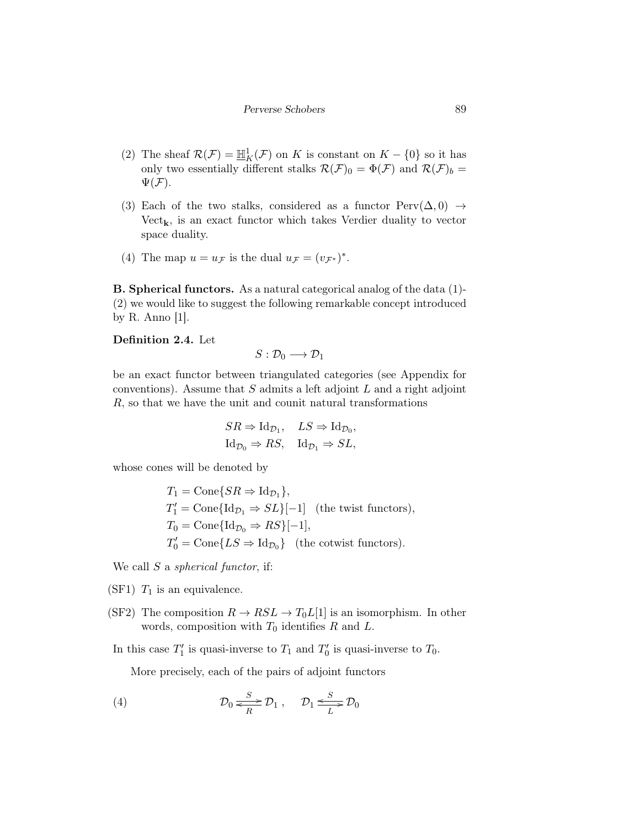- (2) The sheaf  $\mathcal{R}(\mathcal{F}) = \mathbb{H}^1_K(\mathcal{F})$  on K is constant on  $K \{0\}$  so it has only two essentially different stalks  $\mathcal{R}(\mathcal{F})_0 = \Phi(\mathcal{F})$  and  $\mathcal{R}(\mathcal{F})_b =$  $\Psi(\mathcal{F})$ .
- (3) Each of the two stalks, considered as a functor  $Perv(\Delta, 0) \rightarrow$  $Vect_{\mathbf{k}}$ , is an exact functor which takes Verdier duality to vector space duality.
- (4) The map  $u = u_{\mathcal{F}}$  is the dual  $u_{\mathcal{F}} = (v_{\mathcal{F}^*})^*$ .

B. Spherical functors. As a natural categorical analog of the data (1)- (2) we would like to suggest the following remarkable concept introduced by R. Anno [1].

Definition 2.4. Let

$$
S:\mathcal{D}_0\longrightarrow\mathcal{D}_1
$$

be an exact functor between triangulated categories (see Appendix for conventions). Assume that  $S$  admits a left adjoint  $L$  and a right adjoint R, so that we have the unit and counit natural transformations

$$
SR \Rightarrow \text{Id}_{\mathcal{D}_1}, \quad LS \Rightarrow \text{Id}_{\mathcal{D}_0},
$$
  
Id $\mathcal{D}_0 \Rightarrow RS, \quad \text{Id}_{\mathcal{D}_1} \Rightarrow SL,$ 

whose cones will be denoted by

$$
T_1 = \text{Cone}\{SR \Rightarrow \text{Id}_{\mathcal{D}_1}\},
$$
  
\n
$$
T'_1 = \text{Cone}\{\text{Id}_{\mathcal{D}_1} \Rightarrow SL\}[-1] \text{ (the twist functors)},
$$
  
\n
$$
T_0 = \text{Cone}\{\text{Id}_{\mathcal{D}_0} \Rightarrow RS\}[-1],
$$
  
\n
$$
T'_0 = \text{Cone}\{LS \Rightarrow \text{Id}_{\mathcal{D}_0}\} \text{ (the cotwist functors)}.
$$

We call  $S$  a *spherical functor*, if:

- (SF1)  $T_1$  is an equivalence.
- (SF2) The composition  $R \to RSL \to T_0L[1]$  is an isomorphism. In other words, composition with  $T_0$  identifies  $R$  and  $L$ .
- In this case  $T_1'$  is quasi-inverse to  $T_1$  and  $T_0'$  is quasi-inverse to  $T_0$ .

More precisely, each of the pairs of adjoint functors

(4) 
$$
\mathcal{D}_0 \xrightarrow[k]{S} \mathcal{D}_1 , \quad \mathcal{D}_1 \xrightarrow[k]{S} \mathcal{D}_0
$$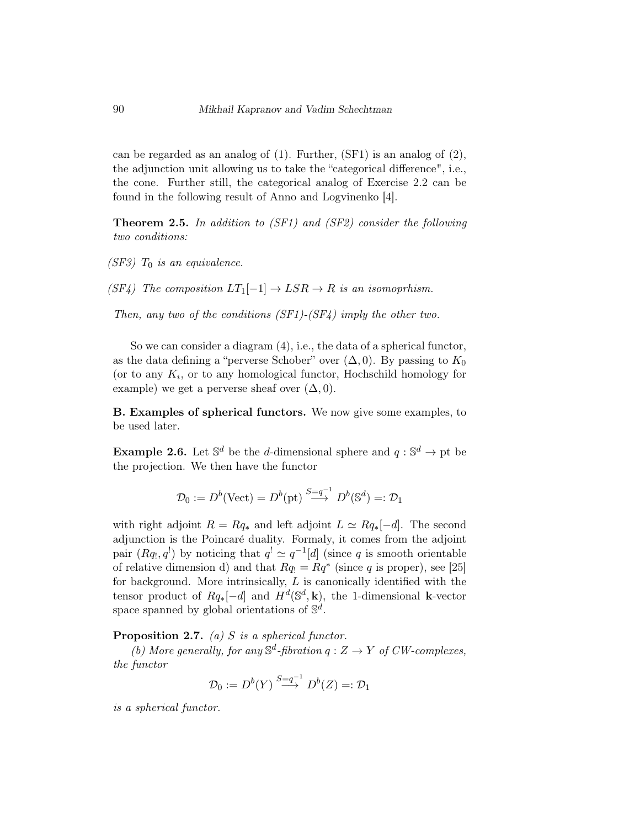can be regarded as an analog of (1). Further, (SF1) is an analog of (2), the adjunction unit allowing us to take the "categorical difference", i.e., the cone. Further still, the categorical analog of Exercise 2.2 can be found in the following result of Anno and Logvinenko [4].

Theorem 2.5. In addition to (SF1) and (SF2) consider the following two conditions:

 $(SF3)$   $T_0$  is an equivalence.

 $(SF4)$  The composition  $LT_1[-1] \rightarrow LSR \rightarrow R$  is an isomoprhism.

Then, any two of the conditions (SF1)-(SF4) imply the other two.

So we can consider a diagram (4), i.e., the data of a spherical functor, as the data defining a "perverse Schober" over  $(\Delta, 0)$ . By passing to  $K_0$ (or to any  $K_i$ , or to any homological functor, Hochschild homology for example) we get a perverse sheaf over  $(\Delta, 0)$ .

B. Examples of spherical functors. We now give some examples, to be used later.

**Example 2.6.** Let  $\mathbb{S}^d$  be the *d*-dimensional sphere and  $q : \mathbb{S}^d \to \text{pt}$  be the projection. We then have the functor

$$
\mathcal{D}_0 := D^b(\text{Vect}) = D^b(\text{pt}) \stackrel{S = q^{-1}}{\longrightarrow} D^b(\mathbb{S}^d) =: \mathcal{D}_1
$$

with right adjoint  $R = Rq_*$  and left adjoint  $L \simeq Rq_*[-d]$ . The second adjunction is the Poincaré duality. Formaly, it comes from the adjoint pair  $(Rq_1, q_1)$  by noticing that  $q_1 \simeq q_1^{-1}[d]$  (since q is smooth orientable of relative dimension d) and that  $Rq_1 = Rq^*$  (since q is proper), see [25] for background. More intrinsically,  $L$  is canonically identified with the tensor product of  $Rq_*[-d]$  and  $H^d(\mathbb{S}^d, \mathbf{k})$ , the 1-dimensional k-vector space spanned by global orientations of  $\mathbb{S}^d$ .

**Proposition 2.7.** (a) S is a spherical functor.

(b) More generally, for any  $\mathbb{S}^d$ -fibration  $q: Z \to Y$  of CW-complexes, the functor

$$
\mathcal{D}_0 := D^b(Y) \stackrel{S = q^{-1}}{\longrightarrow} D^b(Z) =: \mathcal{D}_1
$$

is a spherical functor.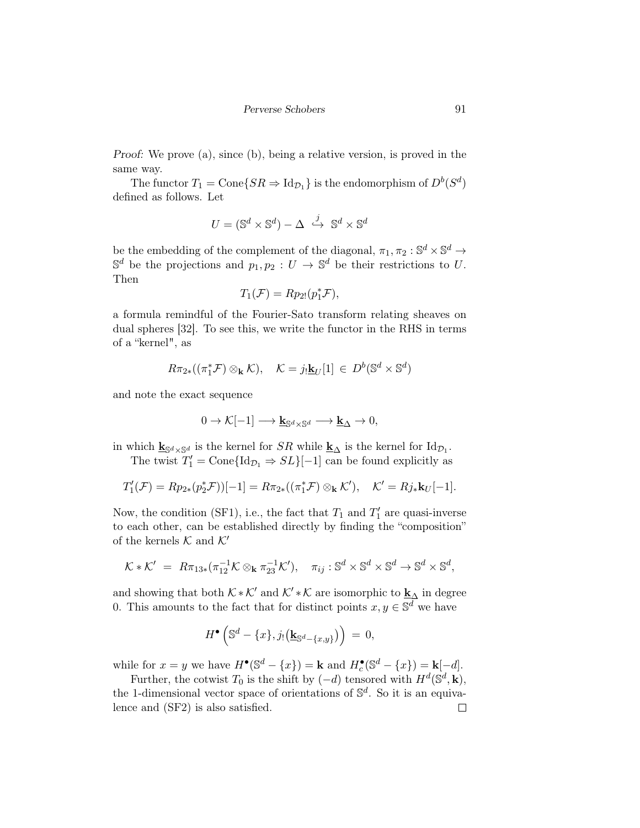Perverse Schobers 91

Proof: We prove (a), since (b), being a relative version, is proved in the same way.

The functor  $T_1 = \text{Cone}\lbrace SR \Rightarrow \text{Id}_{\mathcal{D}_1} \rbrace$  is the endomorphism of  $D^b(S^d)$ defined as follows. Let

$$
U = (\mathbb{S}^d \times \mathbb{S}^d) - \Delta \stackrel{j}{\hookrightarrow} \mathbb{S}^d \times \mathbb{S}^d
$$

be the embedding of the complement of the diagonal,  $\pi_1, \pi_2 : \mathbb{S}^d \times \mathbb{S}^d \to$  $\mathbb{S}^d$  be the projections and  $p_1, p_2 : U \to \mathbb{S}^d$  be their restrictions to U. Then

$$
T_1(\mathcal{F}) = Rp_{2!}(p_1^*\mathcal{F}),
$$

a formula remindful of the Fourier-Sato transform relating sheaves on dual spheres [32]. To see this, we write the functor in the RHS in terms of a "kernel", as

$$
R\pi_{2*}((\pi_1^* \mathcal{F}) \otimes_{\mathbf{k}} \mathcal{K}), \quad \mathcal{K} = j_! \underline{\mathbf{k}}_U[1] \in D^b(\mathbb{S}^d \times \mathbb{S}^d)
$$

and note the exact sequence

$$
0 \to \mathcal{K}[-1] \longrightarrow \underline{\mathbf{k}}_{\mathbb{S}^d \times \mathbb{S}^d} \longrightarrow \underline{\mathbf{k}}_{\Delta} \to 0,
$$

in which  $\underline{\mathbf{k}}_{\mathbb{S}^d \times \mathbb{S}^d}$  is the kernel for  $SR$  while  $\underline{\mathbf{k}}_{\Delta}$  is the kernel for  $\text{Id}_{\mathcal{D}_1}$ .

The twist  $T_1' = \text{Cone} \{\text{Id}_{\mathcal{D}_1} \Rightarrow SL\}[-1]$  can be found explicitly as

$$
T'_{1}(\mathcal{F})=Rp_{2*}(p_{2}^{*}\mathcal{F}))[-1]=R\pi_{2*}((\pi_{1}^{*}\mathcal{F})\otimes_{\mathbf{k}}\mathcal{K}'),\quad \mathcal{K}'=Rj_{*}\mathbf{k}_{U}[-1].
$$

Now, the condition (SF1), i.e., the fact that  $T_1$  and  $T'_1$  are quasi-inverse to each other, can be established directly by finding the "composition" of the kernels  $K$  and  $K'$ 

$$
\mathcal{K} * \mathcal{K}' = R\pi_{13*}(\pi_{12}^{-1}\mathcal{K} \otimes_{\mathbf{k}} \pi_{23}^{-1}\mathcal{K}'), \quad \pi_{ij} : \mathbb{S}^d \times \mathbb{S}^d \times \mathbb{S}^d \to \mathbb{S}^d \times \mathbb{S}^d,
$$

and showing that both  $\mathcal{K} * \mathcal{K}'$  and  $\mathcal{K}' * \mathcal{K}$  are isomorphic to  $\underline{\mathbf{k}}_{\Delta}$  in degree 0. This amounts to the fact that for distinct points  $x, y \in \mathbb{S}^d$  we have

$$
H^{\bullet}\left(\mathbb{S}^d - \{x\}, j_!(\underline{\mathbf{k}}_{\mathbb{S}^d - \{x,y\}})\right) = 0,
$$

while for  $x = y$  we have  $H^{\bullet}(\mathbb{S}^d - \{x\}) = \mathbf{k}$  and  $H^{\bullet}_c(\mathbb{S}^d - \{x\}) = \mathbf{k}[-d]$ .

Further, the cotwist  $T_0$  is the shift by  $(-d)$  tensored with  $H^d(\mathbb{S}^d, \mathbf{k}),$ the 1-dimensional vector space of orientations of  $\mathbb{S}^d$ . So it is an equivalence and (SF2) is also satisfied. $\Box$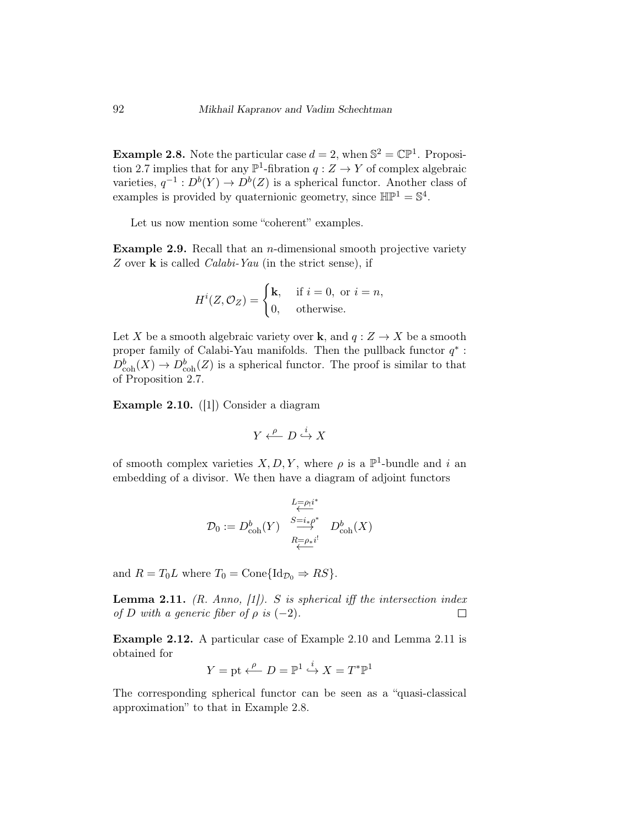**Example 2.8.** Note the particular case  $d = 2$ , when  $\mathbb{S}^2 = \mathbb{CP}^1$ . Proposition 2.7 implies that for any  $\mathbb{P}^1$ -fibration  $q: Z \to Y$  of complex algebraic varieties,  $q^{-1}: D^b(Y) \to D^b(Z)$  is a spherical functor. Another class of examples is provided by quaternionic geometry, since  $\mathbb{HP}^1 = \mathbb{S}^4$ .

Let us now mention some "coherent" examples.

**Example 2.9.** Recall that an *n*-dimensional smooth projective variety Z over  $\bf{k}$  is called *Calabi-Yau* (in the strict sense), if

$$
H^{i}(Z, \mathcal{O}_{Z}) = \begin{cases} \mathbf{k}, & \text{if } i = 0, \text{ or } i = n, \\ 0, & \text{otherwise.} \end{cases}
$$

Let X be a smooth algebraic variety over **k**, and  $q: Z \to X$  be a smooth proper family of Calabi-Yau manifolds. Then the pullback functor  $q^*$ :  $D^b_{\rm coh}(X) \to D^b_{\rm coh}(Z)$  is a spherical functor. The proof is similar to that of Proposition 2.7.

Example 2.10. ([1]) Consider a diagram

$$
Y \xleftarrow{\rho} D \xrightarrow{i} X
$$

of smooth complex varieties  $X, D, Y$ , where  $\rho$  is a  $\mathbb{P}^1$ -bundle and i an embedding of a divisor. We then have a diagram of adjoint functors

$$
\mathcal{D}_0:=D^b_{\mathrm{coh}}(Y)\ \overset{\underset{K=-\rho_* i^*}{\overset{S=i_\ast \rho^*}{\longleftrightarrow}}}\ \ D^b_{\mathrm{coh}}(X)
$$

and  $R = T_0L$  where  $T_0 = \text{Cone} \{\text{Id}_{\mathcal{D}_0} \Rightarrow RS\}.$ 

**Lemma 2.11.** (R. Anno, [1]). S is spherical iff the intersection index of D with a generic fiber of  $\rho$  is  $(-2)$ .  $\Box$ 

Example 2.12. A particular case of Example 2.10 and Lemma 2.11 is obtained for

$$
Y = \text{pt} \xleftarrow{\rho} D = \mathbb{P}^1 \xrightarrow{i} X = T^* \mathbb{P}^1
$$

The corresponding spherical functor can be seen as a "quasi-classical approximation" to that in Example 2.8.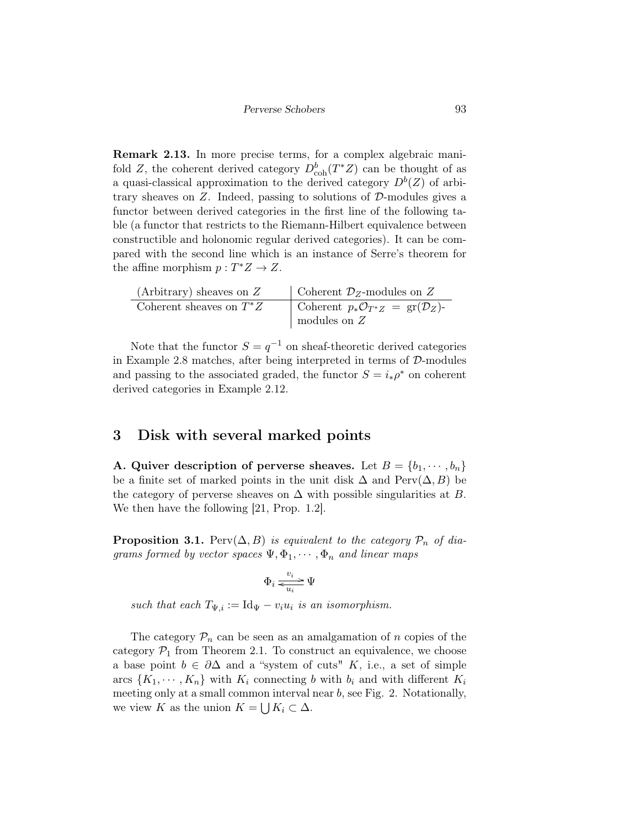Remark 2.13. In more precise terms, for a complex algebraic manifold Z, the coherent derived category  $D_{\rm coh}^b(T^*Z)$  can be thought of as a quasi-classical approximation to the derived category  $D<sup>b</sup>(Z)$  of arbitrary sheaves on  $Z$ . Indeed, passing to solutions of  $D$ -modules gives a functor between derived categories in the first line of the following table (a functor that restricts to the Riemann-Hilbert equivalence between constructible and holonomic regular derived categories). It can be compared with the second line which is an instance of Serre's theorem for the affine morphism  $p: T^*Z \to Z$ .

| (Arbitrary) sheaves on $Z$ | Coherent $\mathcal{D}_Z$ -modules on Z                        |
|----------------------------|---------------------------------------------------------------|
| Coherent sheaves on $T^*Z$ | Coherent $p_*\mathcal{O}_{T^*Z} = \text{gr}(\mathcal{D}_Z)$ - |
|                            | modules on $Z$                                                |

Note that the functor  $S = q^{-1}$  on sheaf-theoretic derived categories in Example 2.8 matches, after being interpreted in terms of  $D$ -modules and passing to the associated graded, the functor  $S = i_*\rho^*$  on coherent derived categories in Example 2.12.

### 3 Disk with several marked points

A. Quiver description of perverse sheaves. Let  $B = \{b_1, \dots, b_n\}$ be a finite set of marked points in the unit disk  $\Delta$  and  $Perv(\Delta, B)$  be the category of perverse sheaves on  $\Delta$  with possible singularities at B. We then have the following [21, Prop. 1.2].

**Proposition 3.1.** Perv $(\Delta, B)$  is equivalent to the category  $\mathcal{P}_n$  of diagrams formed by vector spaces  $\Psi$ ,  $\Phi_1, \cdots, \Phi_n$  and linear maps

$$
\Phi_i \mathrel{\underset{u_i}{\rightleftarrows}} \Psi
$$

such that each  $T_{\Psi,i} := \text{Id}_{\Psi} - v_i u_i$  is an isomorphism.

The category  $P_n$  can be seen as an amalgamation of n copies of the category  $\mathcal{P}_1$  from Theorem 2.1. To construct an equivalence, we choose a base point  $b \in \partial \Delta$  and a "system of cuts" K, i.e., a set of simple arcs  $\{K_1, \dots, K_n\}$  with  $K_i$  connecting b with  $b_i$  and with different  $K_i$ meeting only at a small common interval near  $b$ , see Fig. 2. Notationally, we view K as the union  $K = \bigcup K_i \subset \Delta$ .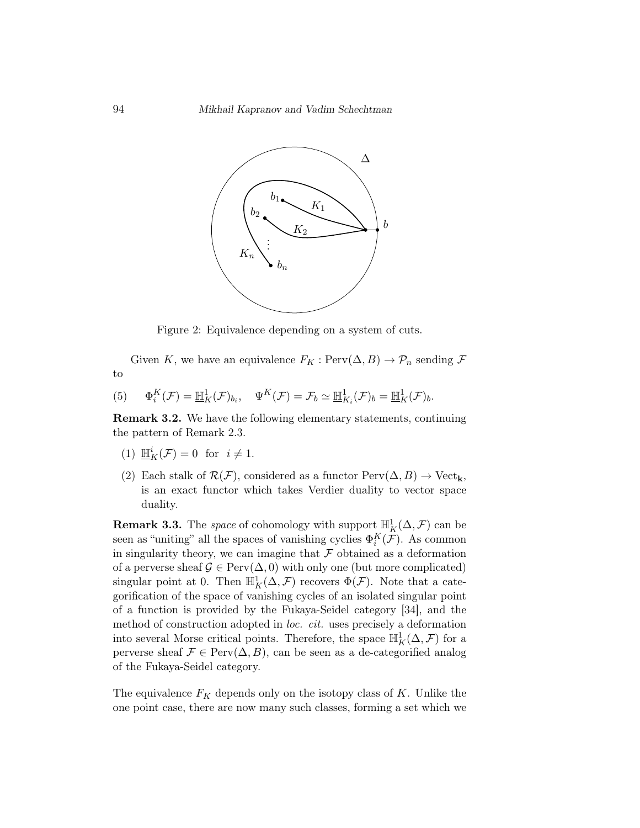

Figure 2: Equivalence depending on a system of cuts.

Given K, we have an equivalence  $F_K : \text{Perv}(\Delta, B) \to \mathcal{P}_n$  sending  $\mathcal F$ to

(5) 
$$
\Phi_i^K(\mathcal{F}) = \mathbb{H}_K^1(\mathcal{F})_{b_i}, \quad \Psi^K(\mathcal{F}) = \mathcal{F}_b \simeq \mathbb{H}_{K_i}^1(\mathcal{F})_b = \mathbb{H}_K^1(\mathcal{F})_b.
$$

Remark 3.2. We have the following elementary statements, continuing the pattern of Remark 2.3.

- (1)  $\underline{\mathbb{H}}_K^i(\mathcal{F}) = 0$  for  $i \neq 1$ .
- (2) Each stalk of  $\mathcal{R}(\mathcal{F})$ , considered as a functor  $\text{Perv}(\Delta, B) \to \text{Vect}_k$ , is an exact functor which takes Verdier duality to vector space duality.

**Remark 3.3.** The space of cohomology with support  $\mathbb{H}_K^1(\Delta, \mathcal{F})$  can be seen as "uniting" all the spaces of vanishing cyclies  $\Phi_i^K(\mathcal{F})$ . As common in singularity theory, we can imagine that  $\mathcal F$  obtained as a deformation of a perverse sheaf  $\mathcal{G} \in \text{Perv}(\Delta, 0)$  with only one (but more complicated) singular point at 0. Then  $\mathbb{H}^1_K(\Delta,\mathcal{F})$  recovers  $\Phi(\mathcal{F})$ . Note that a categorification of the space of vanishing cycles of an isolated singular point of a function is provided by the Fukaya-Seidel category [34], and the method of construction adopted in loc. cit. uses precisely a deformation into several Morse critical points. Therefore, the space  $\mathbb{H}^1_K(\Delta,\mathcal{F})$  for a perverse sheaf  $\mathcal{F} \in \text{Perv}(\Delta, B)$ , can be seen as a de-categorified analog of the Fukaya-Seidel category.

The equivalence  $F_K$  depends only on the isotopy class of K. Unlike the one point case, there are now many such classes, forming a set which we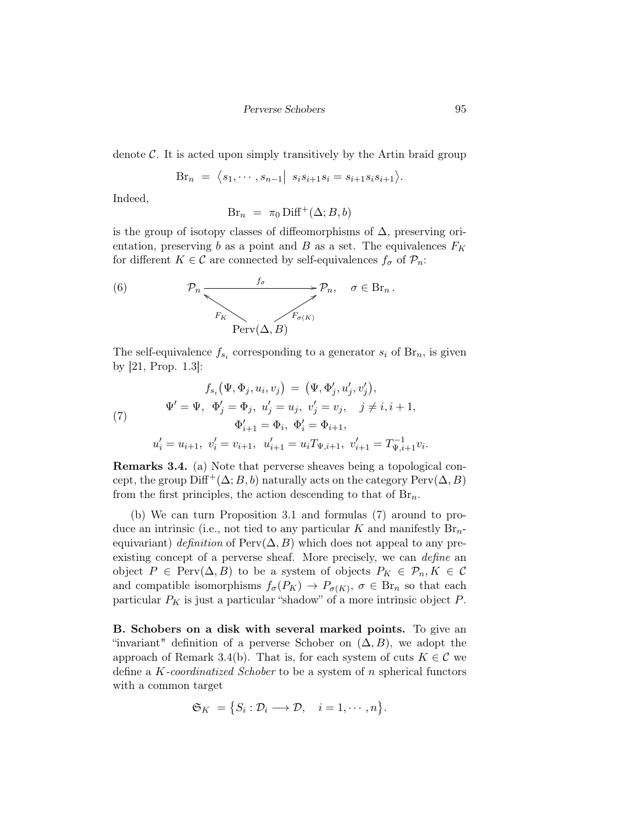denote  $\mathcal{C}$ . It is acted upon simply transitively by the Artin braid group

$$
Br_n = \langle s_1, \cdots, s_{n-1} | s_i s_{i+1} s_i = s_{i+1} s_i s_{i+1} \rangle.
$$

Indeed,

$$
Br_n = \pi_0 \operatorname{Diff}^+(\Delta; B, b)
$$

is the group of isotopy classes of diffeomorphisms of  $\Delta$ , preserving orientation, preserving b as a point and B as a set. The equivalences  $F_K$ for different  $K \in \mathcal{C}$  are connected by self-equivalences  $f_{\sigma}$  of  $\mathcal{P}_n$ :

(6) 
$$
\mathcal{P}_n \xrightarrow{f_\sigma} \mathcal{P}_n, \quad \sigma \in \text{Br}_n.
$$
  

$$
F_K \xrightarrow{F_{\sigma(K)}} F_{\sigma(K)}
$$

The self-equivalence  $f_{s_i}$  corresponding to a generator  $s_i$  of  $\text{Br}_n$ , is given by [21, Prop. 1.3]:

(7) 
$$
f_{s_i}(\Psi, \Phi_j, u_i, v_j) = (\Psi, \Phi'_j, u'_j, v'_j),
$$

$$
\Psi' = \Psi, \quad \Phi'_j = \Phi_j, \quad u'_j = u_j, \quad v'_j = v_j, \quad j \neq i, i+1,
$$

$$
\Phi'_{i+1} = \Phi_i, \quad \Phi'_i = \Phi_{i+1},
$$

$$
u'_i = u_{i+1}, \quad v'_i = v_{i+1}, \quad u'_{i+1} = u_i T_{\Psi, i+1}, \quad v'_{i+1} = T_{\Psi, i+1}^{-1} v_i.
$$

Remarks 3.4. (a) Note that perverse sheaves being a topological concept, the group  $\text{Diff}^+(\Delta; B, b)$  naturally acts on the category  $\text{Perv}(\Delta, B)$ from the first principles, the action descending to that of  $\text{Br}_n$ .

(b) We can turn Proposition 3.1 and formulas (7) around to produce an intrinsic (i.e., not tied to any particular K and manifestly  $\text{Br}_n$ equivariant) definition of Perv $(\Delta, B)$  which does not appeal to any preexisting concept of a perverse sheaf. More precisely, we can *define* an object  $P \in \text{Perv}(\Delta, B)$  to be a system of objects  $P_K \in \mathcal{P}_n, K \in \mathcal{C}$ and compatible isomorphisms  $f_{\sigma}(P_K) \to P_{\sigma(K)}, \sigma \in \text{Br}_n$  so that each particular  $P_K$  is just a particular "shadow" of a more intrinsic object  $P$ .

B. Schobers on a disk with several marked points. To give an "invariant" definition of a perverse Schober on  $(\Delta, B)$ , we adopt the approach of Remark 3.4(b). That is, for each system of cuts  $K \in \mathcal{C}$  we define a  $K$ -coordinatized Schober to be a system of n spherical functors with a common target

$$
\mathfrak{S}_K = \{ S_i : \mathcal{D}_i \longrightarrow \mathcal{D}, \quad i = 1, \cdots, n \}.
$$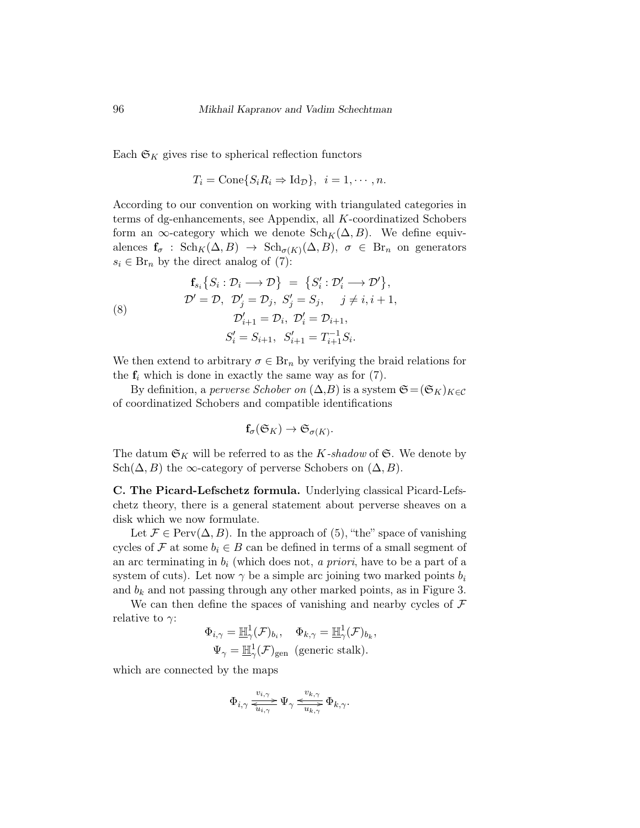Each  $\mathfrak{S}_K$  gives rise to spherical reflection functors

$$
T_i = \text{Cone}\{S_i R_i \Rightarrow \text{Id}_{\mathcal{D}}\}, \ \ i = 1, \cdots, n.
$$

According to our convention on working with triangulated categories in terms of dg-enhancements, see Appendix, all K-coordinatized Schobers form an  $\infty$ -category which we denote  $\text{Sch}_K(\Delta, B)$ . We define equivalences  $f_{\sigma}$  :  $\text{Sch}_K(\Delta, B) \rightarrow \text{Sch}_{\sigma(K)}(\Delta, B), \sigma \in \text{Br}_n$  on generators  $s_i \in \text{Br}_n$  by the direct analog of (7):

(8)   
\n
$$
\mathbf{f}_{s_i} \{ S_i : \mathcal{D}_i \longrightarrow \mathcal{D} \} = \{ S'_i : \mathcal{D}'_i \longrightarrow \mathcal{D}' \},
$$
\n
$$
\mathcal{D}' = \mathcal{D}, \ \mathcal{D}'_j = \mathcal{D}_j, \ S'_j = S_j, \quad j \neq i, i+1,
$$
\n
$$
\mathcal{D}'_{i+1} = \mathcal{D}_i, \ \mathcal{D}'_i = \mathcal{D}_{i+1},
$$
\n
$$
S'_i = S_{i+1}, \ S'_{i+1} = T_{i+1}^{-1} S_i.
$$

We then extend to arbitrary  $\sigma \in \mathrm{Br}_n$  by verifying the braid relations for the  $f_i$  which is done in exactly the same way as for  $(7)$ .

By definition, a perverse Schober on  $(\Delta, B)$  is a system  $\mathfrak{S} = (\mathfrak{S}_K)_{K \in \mathcal{C}}$ of coordinatized Schobers and compatible identifications

$$
\mathbf{f}_{\sigma}(\mathfrak{S}_K) \to \mathfrak{S}_{\sigma(K)}.
$$

The datum  $\mathfrak{S}_K$  will be referred to as the K-shadow of  $\mathfrak{S}$ . We denote by Sch $(\Delta, B)$  the ∞-category of perverse Schobers on  $(\Delta, B)$ .

C. The Picard-Lefschetz formula. Underlying classical Picard-Lefschetz theory, there is a general statement about perverse sheaves on a disk which we now formulate.

Let  $\mathcal{F} \in \text{Perv}(\Delta, B)$ . In the approach of (5), "the" space of vanishing cycles of F at some  $b_i \in B$  can be defined in terms of a small segment of an arc terminating in  $b_i$  (which does not, a priori, have to be a part of a system of cuts). Let now  $\gamma$  be a simple arc joining two marked points  $b_i$ and  $b_k$  and not passing through any other marked points, as in Figure 3.

We can then define the spaces of vanishing and nearby cycles of  $\mathcal F$ relative to  $\gamma$ :

$$
\Phi_{i,\gamma} = \mathbb{H}^1_\gamma(\mathcal{F})_{b_i}, \quad \Phi_{k,\gamma} = \mathbb{H}^1_\gamma(\mathcal{F})_{b_k},
$$
  

$$
\Psi_\gamma = \mathbb{H}^1_\gamma(\mathcal{F})_{\text{gen}} \text{ (generic stalk)}.
$$

which are connected by the maps

$$
\Phi_{i,\gamma} \xrightarrow[\overline{u_{i,\gamma}}]{v_{i,\gamma}} \Psi_{\gamma} \xrightarrow[u_{k,\gamma}]{v_{k,\gamma}} \Phi_{k,\gamma}.
$$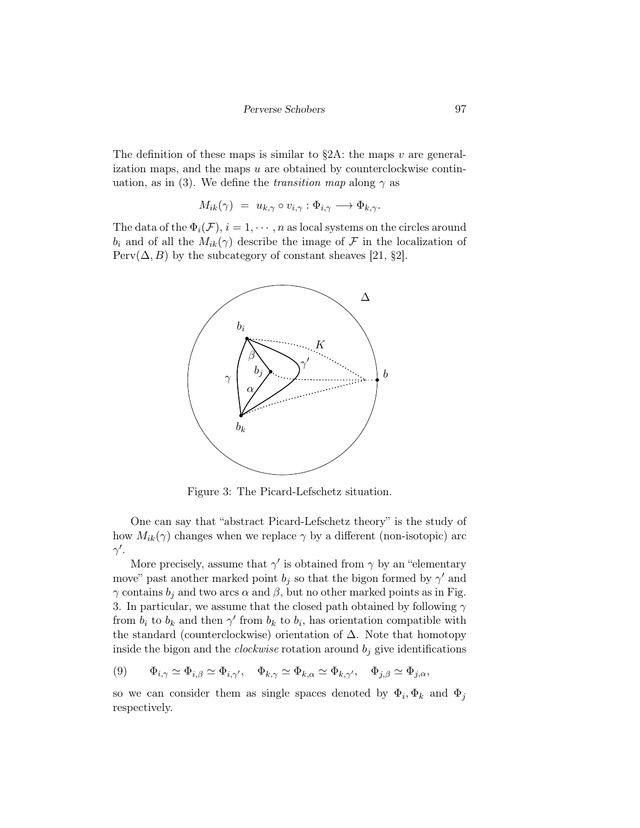The definition of these maps is similar to  $\S 2A$ : the maps v are generalization maps, and the maps  $u$  are obtained by counterclockwise continuation, as in (3). We define the *transition map* along  $\gamma$  as

$$
M_{ik}(\gamma) = u_{k,\gamma} \circ v_{i,\gamma} : \Phi_{i,\gamma} \longrightarrow \Phi_{k,\gamma}.
$$

The data of the  $\Phi_i(\mathcal{F}), i = 1, \cdots, n$  as local systems on the circles around  $b_i$  and of all the  $M_{ik}(\gamma)$  describe the image of  $\mathcal F$  in the localization of  $Perv(\Delta, B)$  by the subcategory of constant sheaves [21, §2].



Figure 3: The Picard-Lefschetz situation.

One can say that "abstract Picard-Lefschetz theory" is the study of how  $M_{ik}(\gamma)$  changes when we replace  $\gamma$  by a different (non-isotopic) arc  $\gamma'$ .

More precisely, assume that  $\gamma'$  is obtained from  $\gamma$  by an "elementary move" past another marked point  $b_j$  so that the bigon formed by  $\gamma'$  and  $\gamma$  contains  $b_i$  and two arcs  $\alpha$  and  $\beta$ , but no other marked points as in Fig. 3. In particular, we assume that the closed path obtained by following  $\gamma$ from  $b_i$  to  $b_k$  and then  $\gamma'$  from  $b_k$  to  $b_i$ , has orientation compatible with the standard (counterclockwise) orientation of  $\Delta$ . Note that homotopy inside the bigon and the *clockwise* rotation around  $b_j$  give identifications

$$
(9) \qquad \Phi_{i,\gamma} \simeq \Phi_{i,\beta} \simeq \Phi_{i,\gamma'}, \quad \Phi_{k,\gamma} \simeq \Phi_{k,\alpha} \simeq \Phi_{k,\gamma'}, \quad \Phi_{j,\beta} \simeq \Phi_{j,\alpha},
$$

so we can consider them as single spaces denoted by  $\Phi_i, \Phi_k$  and  $\Phi_j$ respectively.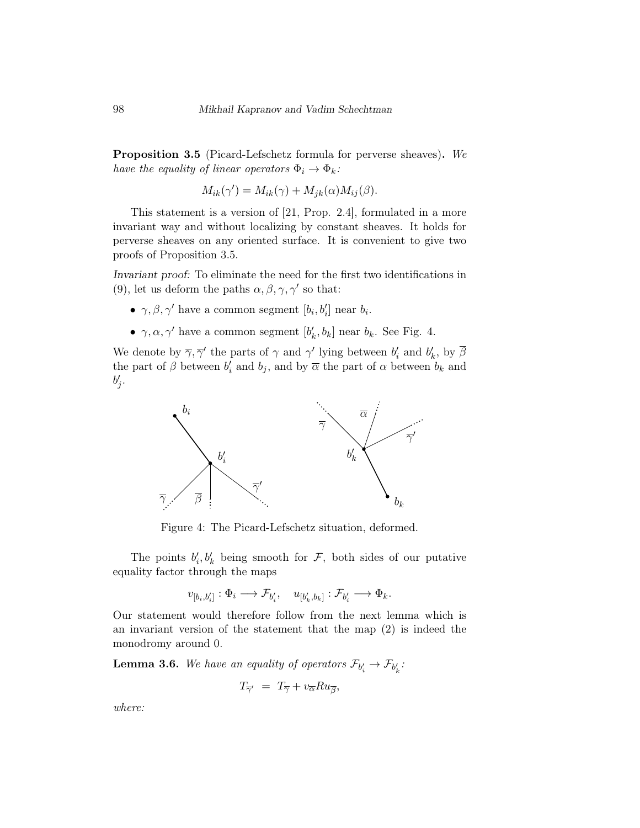Proposition 3.5 (Picard-Lefschetz formula for perverse sheaves). We have the equality of linear operators  $\Phi_i \to \Phi_k$ :

$$
M_{ik}(\gamma') = M_{ik}(\gamma) + M_{jk}(\alpha)M_{ij}(\beta).
$$

This statement is a version of [21, Prop. 2.4], formulated in a more invariant way and without localizing by constant sheaves. It holds for perverse sheaves on any oriented surface. It is convenient to give two proofs of Proposition 3.5.

Invariant proof: To eliminate the need for the first two identifications in (9), let us deform the paths  $\alpha, \beta, \gamma, \gamma'$  so that:

- $\gamma, \beta, \gamma'$  have a common segment  $[b_i, b'_i]$  near  $b_i$ .
- $\gamma, \alpha, \gamma'$  have a common segment  $[b'_k, b_k]$  near  $b_k$ . See Fig. 4.

We denote by  $\overline{\gamma}, \overline{\gamma}'$  the parts of  $\gamma$  and  $\gamma'$  lying between  $b'_i$  and  $b'_k$ , by  $\overline{\beta}$ the part of  $\beta$  between  $b'_i$  and  $b_j$ , and by  $\overline{\alpha}$  the part of  $\alpha$  between  $b_k$  and  $b'_j$ .



Figure 4: The Picard-Lefschetz situation, deformed.

The points  $b'_i, b'_k$  being smooth for  $\mathcal{F}$ , both sides of our putative equality factor through the maps

$$
v_{[b_i,b'_i]}: \Phi_i \longrightarrow \mathcal{F}_{b'_i}, \quad u_{[b'_k,b_k]}: \mathcal{F}_{b'_i} \longrightarrow \Phi_k.
$$

Our statement would therefore follow from the next lemma which is an invariant version of the statement that the map (2) is indeed the monodromy around 0.

**Lemma 3.6.** We have an equality of operators  $\mathcal{F}_{b_i'} \to \mathcal{F}_{b_k'}$ :

$$
T_{\overline{\gamma'}} = T_{\overline{\gamma}} + v_{\overline{\alpha}} Ru_{\overline{\beta}},
$$

where: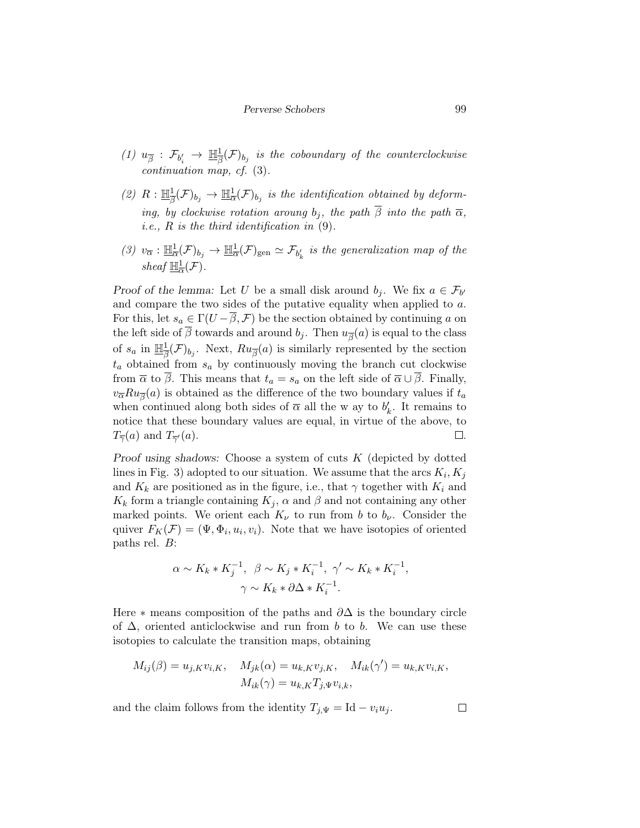- (1)  $u_{\overline{\beta}} : \mathcal{F}_{b_i'} \to \underline{\mathbb{H}}_{\overline{\beta}}^1$  $\frac{1}{\beta}(\mathcal{F})_{b_j}$  is the coboundary of the counterclockwise continuation map, cf. (3).
- $(2)$   $R: \mathbb{H}^1$  $\frac{1}{\beta}(\mathcal{F})_{b_j} \to \underline{\mathbb{H}}_{\overline{\alpha}}^1(\mathcal{F})_{b_j}$  is the identification obtained by deforming, by clockwise rotation aroung  $b_i$ , the path  $\overline{\beta}$  into the path  $\overline{\alpha}$ , *i.e.*,  $R$  *is the third identification in*  $(9)$ *.*
- (3)  $v_{\overline{\alpha}} : \underline{\mathbb{H}}_{\overline{\alpha}}^1(\mathcal{F})_{b_j} \to \underline{\mathbb{H}}_{\overline{\alpha}}^1(\mathcal{F})_{\text{gen}} \simeq \mathcal{F}_{b'_k}$  is the generalization map of the sheaf  $\mathbb{H}^1_{\overline{\alpha}}(\mathcal{F})$ .

Proof of the lemma: Let U be a small disk around  $b_j$ . We fix  $a \in \mathcal{F}_{b'}$ and compare the two sides of the putative equality when applied to  $a$ . For this, let  $s_a \in \Gamma(U-\beta, \mathcal{F})$  be the section obtained by continuing a on the left side of  $\beta$  towards and around  $b_j$ . Then  $u_{\overline{\beta}}(a)$  is equal to the class of  $s_a$  in  $\underline{\mathbb{H}}_{\overline{A}}^1$  $\frac{1}{\beta}(\mathcal{F})_{b_j}$ . Next,  $Ru_{\overline{\beta}}(a)$  is similarly represented by the section  $t_a$  obtained from  $s_a$  by continuously moving the branch cut clockwise from  $\overline{\alpha}$  to  $\overline{\beta}$ . This means that  $t_a = s_a$  on the left side of  $\overline{\alpha} \cup \overline{\beta}$ . Finally,  $v_{\overline{\alpha}}Ru_{\overline{\beta}}(a)$  is obtained as the difference of the two boundary values if  $t_a$ when continued along both sides of  $\bar{\alpha}$  all the w ay to  $b'_k$ . It remains to notice that these boundary values are equal, in virtue of the above, to  $T_{\overline{\gamma}}(a)$  and  $T_{\overline{\gamma}}(a)$ .  $\Box$  .

Proof using shadows: Choose a system of cuts  $K$  (depicted by dotted lines in Fig. 3) adopted to our situation. We assume that the arcs  $K_i, K_j$ and  $K_k$  are positioned as in the figure, i.e., that  $\gamma$  together with  $K_i$  and  $K_k$  form a triangle containing  $K_j$ ,  $\alpha$  and  $\beta$  and not containing any other marked points. We orient each  $K_{\nu}$  to run from b to  $b_{\nu}$ . Consider the quiver  $F_K(\mathcal{F}) = (\Psi, \Phi_i, u_i, v_i)$ . Note that we have isotopies of oriented paths rel. B:

$$
\alpha \sim K_k * K_j^{-1}, \ \beta \sim K_j * K_i^{-1}, \ \gamma' \sim K_k * K_i^{-1},
$$

$$
\gamma \sim K_k * \partial \Delta * K_i^{-1}.
$$

Here  $*$  means composition of the paths and  $\partial\Delta$  is the boundary circle of  $\Delta$ , oriented anticlockwise and run from b to b. We can use these isotopies to calculate the transition maps, obtaining

$$
M_{ij}(\beta) = u_{j,K}v_{i,K}, \quad M_{jk}(\alpha) = u_{k,K}v_{j,K}, \quad M_{ik}(\gamma') = u_{k,K}v_{i,K},
$$

$$
M_{ik}(\gamma) = u_{k,K}T_{j,\Psi}v_{i,k},
$$

and the claim follows from the identity  $T_{j,\Psi} = \text{Id} - v_i u_j$ .

 $\Box$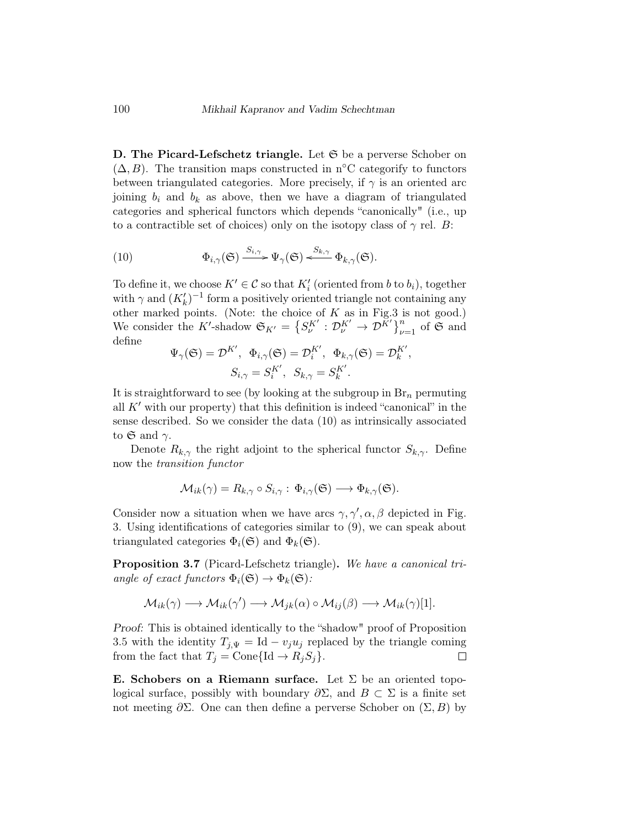D. The Picard-Lefschetz triangle. Let  $\mathfrak S$  be a perverse Schober on  $(\Delta, B)$ . The transition maps constructed in n°C categorify to functors between triangulated categories. More precisely, if  $\gamma$  is an oriented arc joining  $b_i$  and  $b_k$  as above, then we have a diagram of triangulated categories and spherical functors which depends "canonically" (i.e., up to a contractible set of choices) only on the isotopy class of  $\gamma$  rel. B:

(10) 
$$
\Phi_{i,\gamma}(\mathfrak{S}) \xrightarrow{S_{i,\gamma}} \Psi_{\gamma}(\mathfrak{S}) \xleftarrow{S_{k,\gamma}} \Phi_{k,\gamma}(\mathfrak{S}).
$$

To define it, we choose  $K' \in \mathcal{C}$  so that  $K_i'$  (oriented from b to  $b_i$ ), together with  $\gamma$  and  $(K'_k)^{-1}$  form a positively oriented triangle not containing any other marked points. (Note: the choice of  $K$  as in Fig.3 is not good.) We consider the K'-shadow  $\mathfrak{S}_{K'} = \left\{ S_{\nu}^{K'} : \mathcal{D}_{\nu}^{K'} \to \mathcal{D}^{K'} \right\}_{\nu=1}^n$  of  $\mathfrak{S}$  and define

$$
\Psi_{\gamma}(\mathfrak{S}) = \mathcal{D}^{K'}, \ \Phi_{i,\gamma}(\mathfrak{S}) = \mathcal{D}^{K'}_{i}, \ \Phi_{k,\gamma}(\mathfrak{S}) = \mathcal{D}^{K'}_{k},
$$

$$
S_{i,\gamma} = S^{K'}_{i}, \ S_{k,\gamma} = S^{K'}_{k}.
$$

It is straightforward to see (by looking at the subgroup in  $\mathrm{Br}_n$  permuting all  $K'$  with our property) that this definition is indeed "canonical" in the sense described. So we consider the data (10) as intrinsically associated to  $\mathfrak{S}$  and  $\gamma$ .

Denote  $R_{k,\gamma}$  the right adjoint to the spherical functor  $S_{k,\gamma}$ . Define now the transition functor

$$
\mathcal{M}_{ik}(\gamma) = R_{k,\gamma} \circ S_{i,\gamma} : \Phi_{i,\gamma}(\mathfrak{S}) \longrightarrow \Phi_{k,\gamma}(\mathfrak{S}).
$$

Consider now a situation when we have arcs  $\gamma$ ,  $\gamma'$ ,  $\alpha$ ,  $\beta$  depicted in Fig. 3. Using identifications of categories similar to (9), we can speak about triangulated categories  $\Phi_i(\mathfrak{S})$  and  $\Phi_k(\mathfrak{S})$ .

Proposition 3.7 (Picard-Lefschetz triangle). We have a canonical triangle of exact functors  $\Phi_i(\mathfrak{S}) \to \Phi_k(\mathfrak{S})$ :

$$
\mathcal{M}_{ik}(\gamma) \longrightarrow \mathcal{M}_{ik}(\gamma') \longrightarrow \mathcal{M}_{jk}(\alpha) \circ \mathcal{M}_{ij}(\beta) \longrightarrow \mathcal{M}_{ik}(\gamma)[1].
$$

Proof: This is obtained identically to the "shadow" proof of Proposition 3.5 with the identity  $T_{j,\Psi} = \text{Id} - v_j u_j$  replaced by the triangle coming from the fact that  $T_j = \text{Cone}\{\text{Id} \to R_j S_j\}.$  $\Box$ 

E. Schobers on a Riemann surface. Let  $\Sigma$  be an oriented topological surface, possibly with boundary  $\partial \Sigma$ , and  $B \subset \Sigma$  is a finite set not meeting  $\partial \Sigma$ . One can then define a perverse Schober on  $(\Sigma, B)$  by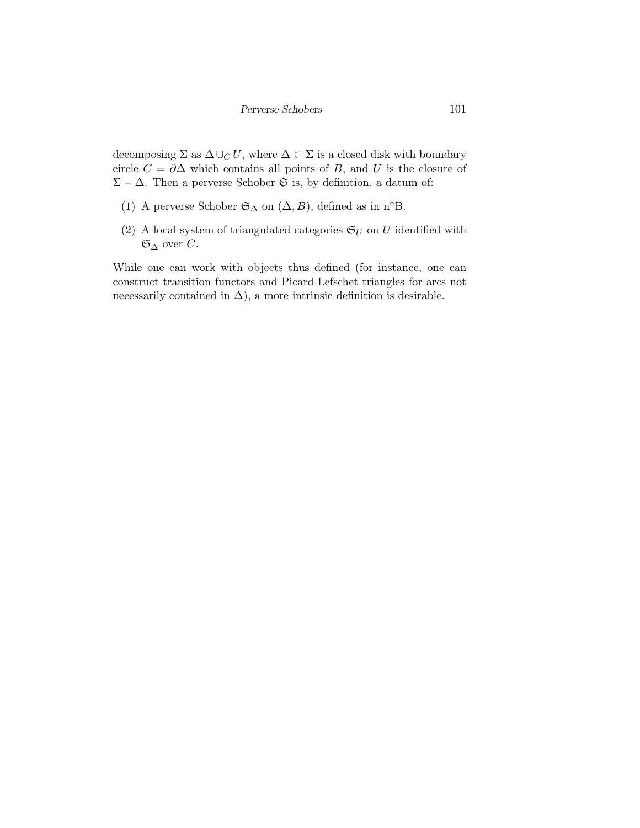decomposing  $\Sigma$  as  $\Delta \cup_C U$ , where  $\Delta \subset \Sigma$  is a closed disk with boundary circle  $C = \partial \Delta$  which contains all points of B, and U is the closure of  $\Sigma - \Delta$ . Then a perverse Schober G is, by definition, a datum of:

- (1) A perverse Schober  $\mathfrak{S}_{\Delta}$  on  $(\Delta, B)$ , defined as in n°B.
- (2) A local system of triangulated categories  $\mathfrak{S}_U$  on U identified with  $\mathfrak{S}_{\Delta}$  over C.

While one can work with objects thus defined (for instance, one can construct transition functors and Picard-Lefschet triangles for arcs not necessarily contained in  $\Delta$ ), a more intrinsic definition is desirable.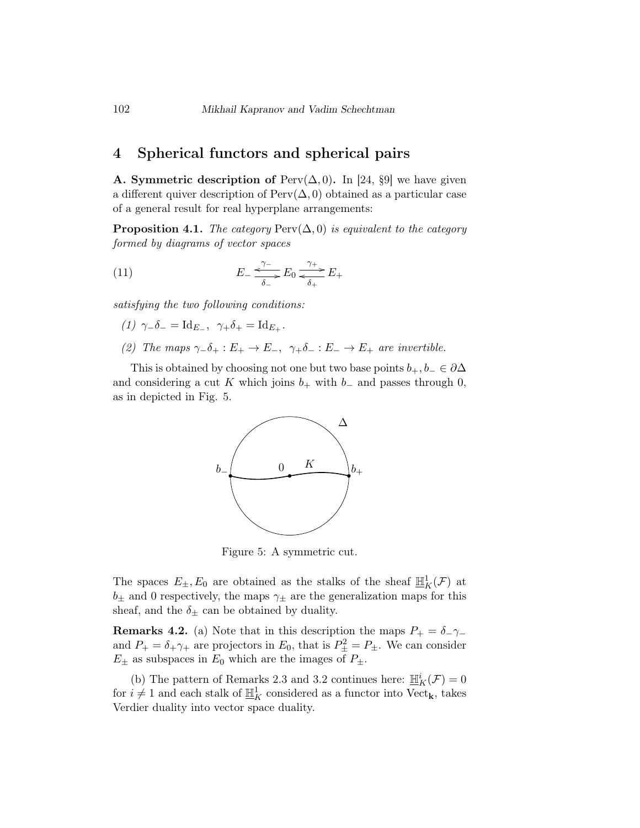## 4 Spherical functors and spherical pairs

A. Symmetric description of Perv $(\Delta, 0)$ . In [24, §9] we have given a different quiver description of  $Perv(\Delta, 0)$  obtained as a particular case of a general result for real hyperplane arrangements:

**Proposition 4.1.** The category  $\text{Perv}(\Delta, 0)$  is equivalent to the category formed by diagrams of vector spaces

(11) 
$$
E_{-} \xrightarrow{\gamma_{-}} E_{0} \xrightarrow{\gamma_{+}} E_{+}
$$

$$
\overline{\delta_{+}} E_{+}
$$

satisfying the two following conditions:

- (1)  $\gamma_-\delta_-=\mathrm{Id}_{E_-}, \ \gamma_+\delta_+=\mathrm{Id}_{E_+}.$
- (2) The maps  $\gamma_-\delta_+ : E_+ \to E_-, \ \gamma_+\delta_- : E_- \to E_+$  are invertible.

This is obtained by choosing not one but two base points  $b_+, b_-\in \partial \Delta$ and considering a cut K which joins  $b_+$  with  $b_-$  and passes through 0, as in depicted in Fig. 5.



Figure 5: A symmetric cut.

The spaces  $E_{\pm}, E_0$  are obtained as the stalks of the sheaf  $\mathbb{H}_K^1(\mathcal{F})$  at  $b_{\pm}$  and 0 respectively, the maps  $\gamma_{\pm}$  are the generalization maps for this sheaf, and the  $\delta_{\pm}$  can be obtained by duality.

**Remarks 4.2.** (a) Note that in this description the maps  $P_+ = \delta_- \gamma_$ and  $P_+ = \delta_+ \gamma_+$  are projectors in  $E_0$ , that is  $P_{\pm}^2 = P_{\pm}$ . We can consider  $E_{\pm}$  as subspaces in  $E_0$  which are the images of  $P_{\pm}$ .

(b) The pattern of Remarks 2.3 and 3.2 continues here:  $\underline{\mathbb{H}}_K^i(\mathcal{F})=0$ for  $i \neq 1$  and each stalk of  $\underline{\mathbb{H}}_K^1$  considered as a functor into  $\text{Vect}_k$ , takes Verdier duality into vector space duality.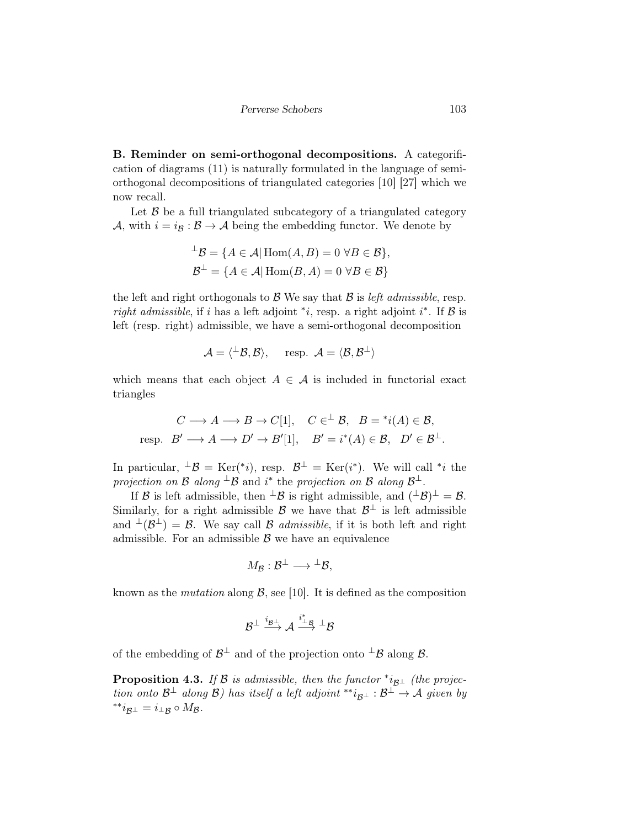B. Reminder on semi-orthogonal decompositions. A categorification of diagrams (11) is naturally formulated in the language of semiorthogonal decompositions of triangulated categories [10] [27] which we now recall.

Let  $\beta$  be a full triangulated subcategory of a triangulated category A, with  $i = i_{\mathcal{B}} : \mathcal{B} \to \mathcal{A}$  being the embedding functor. We denote by

$$
\perp \mathcal{B} = \{ A \in \mathcal{A} | \operatorname{Hom}(A, B) = 0 \,\forall B \in \mathcal{B} \},
$$
  

$$
\mathcal{B}^{\perp} = \{ A \in \mathcal{A} | \operatorname{Hom}(B, A) = 0 \,\forall B \in \mathcal{B} \}
$$

the left and right orthogonals to  $\mathcal{B}$  We say that  $\mathcal{B}$  is *left admissible*, resp. right admissible, if i has a left adjoint \*i, resp. a right adjoint i\*. If  $\beta$  is left (resp. right) admissible, we have a semi-orthogonal decomposition

$$
\mathcal{A} = \langle {}^{\perp} \mathcal{B}, \mathcal{B} \rangle, \quad \text{ resp. } \mathcal{A} = \langle \mathcal{B}, \mathcal{B}^{\perp} \rangle
$$

which means that each object  $A \in \mathcal{A}$  is included in functorial exact triangles

$$
C \longrightarrow A \longrightarrow B \longrightarrow C[1], \quad C \in^{\perp} \mathcal{B}, \quad B = {}^{*}i(A) \in \mathcal{B},
$$
  
resp.  $B' \longrightarrow A \longrightarrow D' \rightarrow B'[1], \quad B' = i^{*}(A) \in \mathcal{B}, \quad D' \in \mathcal{B}^{\perp}.$ 

In particular,  $^{\perp}\mathcal{B} = \text{Ker}(*i)$ , resp.  $\mathcal{B}^{\perp} = \text{Ker}(i^*)$ . We will call \**i* the projection on B along  $^{\perp}$ B and i<sup>\*</sup> the projection on B along B<sup> $\perp$ </sup>.

If B is left admissible, then  $\perp$ B is right admissible, and  $(\perp$ B $)$  $\perp$  = B. Similarly, for a right admissible  $\mathcal{B}$  we have that  $\mathcal{B}^{\perp}$  is left admissible and  $\perp(\mathcal{B}^{\perp}) = \mathcal{B}$ . We say call  $\mathcal B$  admissible, if it is both left and right admissible. For an admissible  $\beta$  we have an equivalence

$$
M_{\mathcal{B}}:\mathcal{B}^{\perp}\longrightarrow {}^{\perp}\mathcal{B},
$$

known as the *mutation* along  $\beta$ , see [10]. It is defined as the composition

$$
\mathcal{B}^{\perp} \xrightarrow{i_{\mathcal{B}^{\perp}}} \mathcal{A} \xrightarrow{i_{\perp}^* \mathcal{B}} {}^{\perp} \mathcal{B}
$$

of the embedding of  $\mathcal{B}^{\perp}$  and of the projection onto  $^{\perp}\mathcal{B}$  along  $\mathcal{B}$ .

**Proposition 4.3.** If B is admissible, then the functor  $i_{\mathcal{B}^\perp}$  (the projection onto  $\mathcal{B}^\perp$  along  $\mathcal{B}$ ) has itself a left adjoint \*\* $i_{\mathcal{B}^\perp} : \mathcal{B}^\perp \to \mathcal{A}$  given by  $*^*i_{\mathcal{B}^\perp} = i_{\perp \mathcal{B}} \circ M_{\mathcal{B}}.$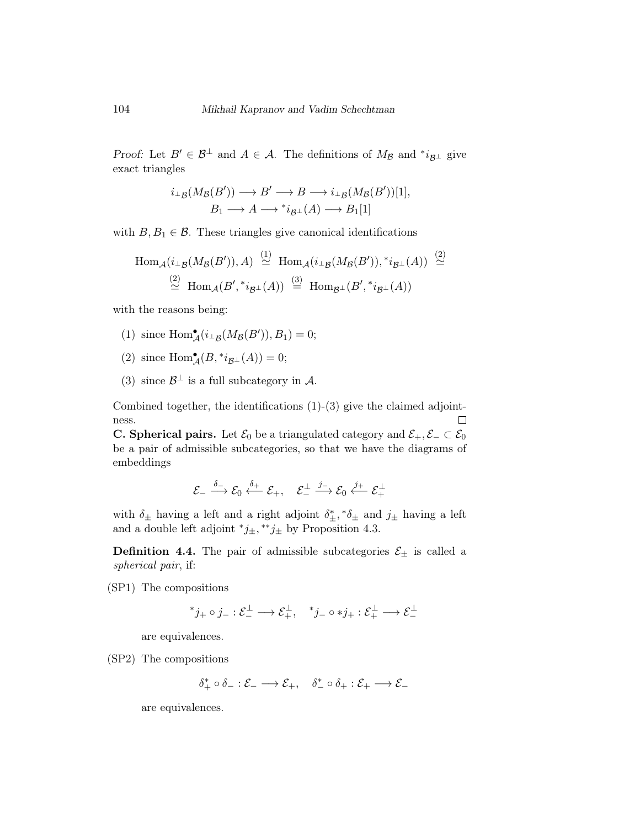Proof: Let  $B' \in \mathcal{B}^{\perp}$  and  $A \in \mathcal{A}$ . The definitions of  $M_{\mathcal{B}}$  and  $i_{\mathcal{B}^{\perp}}$  give exact triangles

$$
i_{\perp B}(M_{\mathcal{B}}(B')) \longrightarrow B' \longrightarrow B \longrightarrow i_{\perp B}(M_{\mathcal{B}}(B'))[1],
$$
  

$$
B_1 \longrightarrow A \longrightarrow {}^*i_{\mathcal{B}^{\perp}}(A) \longrightarrow B_1[1]
$$

with  $B, B_1 \in \mathcal{B}$ . These triangles give canonical identifications

$$
\text{Hom}_{\mathcal{A}}(i_{\perp \mathcal{B}}(M_{\mathcal{B}}(B')), A) \stackrel{(1)}{\simeq} \text{Hom}_{\mathcal{A}}(i_{\perp \mathcal{B}}(M_{\mathcal{B}}(B')), *i_{\mathcal{B}^{\perp}}(A)) \stackrel{(2)}{\simeq} \\ \stackrel{(2)}{\simeq} \text{Hom}_{\mathcal{A}}(B', *i_{\mathcal{B}^{\perp}}(A)) \stackrel{(3)}{\simeq} \text{Hom}_{\mathcal{B}^{\perp}}(B', *i_{\mathcal{B}^{\perp}}(A))
$$

with the reasons being:

- (1) since  $\text{Hom}_{\mathcal{A}}^{\bullet}(i_{\perp}(\mathcal{M}_{\mathcal{B}}(B')), B_1) = 0;$
- (2) since  $\text{Hom}_{\mathcal{A}}^{\bullet}(B, {}^{*i}\mathcal{B}^{\perp}(A)) = 0;$
- (3) since  $\mathcal{B}^{\perp}$  is a full subcategory in A.

Combined together, the identifications  $(1)-(3)$  give the claimed adjoint- $\Box$ ness.

**C. Spherical pairs.** Let  $\mathcal{E}_0$  be a triangulated category and  $\mathcal{E}_+$ ,  $\mathcal{E}_-\subset \mathcal{E}_0$ be a pair of admissible subcategories, so that we have the diagrams of embeddings

$$
\mathcal{E}_{-} \stackrel{\delta_{-}}{\longrightarrow} \mathcal{E}_{0} \stackrel{\delta_{+}}{\longleftarrow} \mathcal{E}_{+}, \quad \mathcal{E}_{-}^{\perp} \stackrel{j_{-}}{\longrightarrow} \mathcal{E}_{0} \stackrel{j_{+}}{\longleftarrow} \mathcal{E}_{+}^{\perp}
$$

with  $\delta_{\pm}$  having a left and a right adjoint  $\delta_{\pm}^*, * \delta_{\pm}$  and  $j_{\pm}$  having a left and a double left adjoint  $j_{\pm}$ , \*\* $j_{\pm}$  by Proposition 4.3.

**Definition 4.4.** The pair of admissible subcategories  $\mathcal{E}_{\pm}$  is called a spherical pair, if:

(SP1) The compositions

$$
^*j_+ \circ j_- : \mathcal{E}_-^{\perp} \longrightarrow \mathcal{E}_+^{\perp}, \quad ^*j_- \circ *j_+ : \mathcal{E}_+^{\perp} \longrightarrow \mathcal{E}_-^{\perp}
$$

are equivalences.

(SP2) The compositions

$$
\delta_+^* \circ \delta_- : \mathcal{E}_- \longrightarrow \mathcal{E}_+, \quad \delta_-^* \circ \delta_+ : \mathcal{E}_+ \longrightarrow \mathcal{E}_-
$$

are equivalences.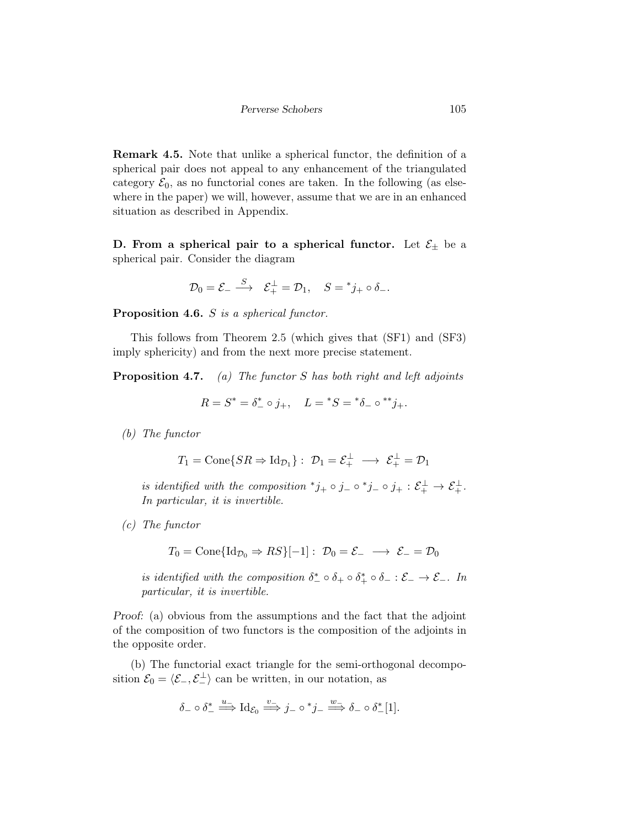Remark 4.5. Note that unlike a spherical functor, the definition of a spherical pair does not appeal to any enhancement of the triangulated category  $\mathcal{E}_0$ , as no functorial cones are taken. In the following (as elsewhere in the paper) we will, however, assume that we are in an enhanced situation as described in Appendix.

D. From a spherical pair to a spherical functor. Let  $\mathcal{E}_{\pm}$  be a spherical pair. Consider the diagram

$$
\mathcal{D}_0 = \mathcal{E}_- \xrightarrow{S} \quad \mathcal{E}_+^{\perp} = \mathcal{D}_1, \quad S = {}^*j_+ \circ \delta_-.
$$

Proposition 4.6. S is a spherical functor.

This follows from Theorem 2.5 (which gives that (SF1) and (SF3) imply sphericity) and from the next more precise statement.

**Proposition 4.7.** (a) The functor  $S$  has both right and left adjoints

$$
R = S^* = \delta^*_- \circ j_+, \quad L =^* S =^* \delta_- \circ^{**} j_+.
$$

(b) The functor

$$
T_1 = \text{Cone}\{SR \Rightarrow \text{Id}_{\mathcal{D}_1}\} : \mathcal{D}_1 = \mathcal{E}_+^{\perp} \longrightarrow \mathcal{E}_+^{\perp} = \mathcal{D}_1
$$

is identified with the composition  $^*j_+ \circ j_- \circ^*j_- \circ j_+ : \mathcal{E}_+^{\perp} \to \mathcal{E}_+^{\perp}$ . In particular, it is invertible.

(c) The functor

$$
T_0 = \text{Cone}\{\text{Id}_{\mathcal{D}_0} \Rightarrow RS\}[-1]: \mathcal{D}_0 = \mathcal{E}_- \longrightarrow \mathcal{E}_- = \mathcal{D}_0
$$

is identified with the composition  $\delta^*_{-} \circ \delta_{+} \circ \delta_{+} \circ \delta_{-} : \mathcal{E}_{-} \to \mathcal{E}_{-}$ . In particular, it is invertible.

Proof: (a) obvious from the assumptions and the fact that the adjoint of the composition of two functors is the composition of the adjoints in the opposite order.

(b) The functorial exact triangle for the semi-orthogonal decomposition  $\mathcal{E}_0 = \langle \mathcal{E}_-, \mathcal{E}_-^{\perp} \rangle$  can be written, in our notation, as

$$
\delta_- \circ \delta_-^* \stackrel{u_-}{\Longrightarrow} \mathrm{Id}_{\mathcal{E}_0} \stackrel{v_-}{\Longrightarrow} j_- \circ {}^*j_- \stackrel{w_-}{\Longrightarrow} \delta_- \circ \delta_-^*[1].
$$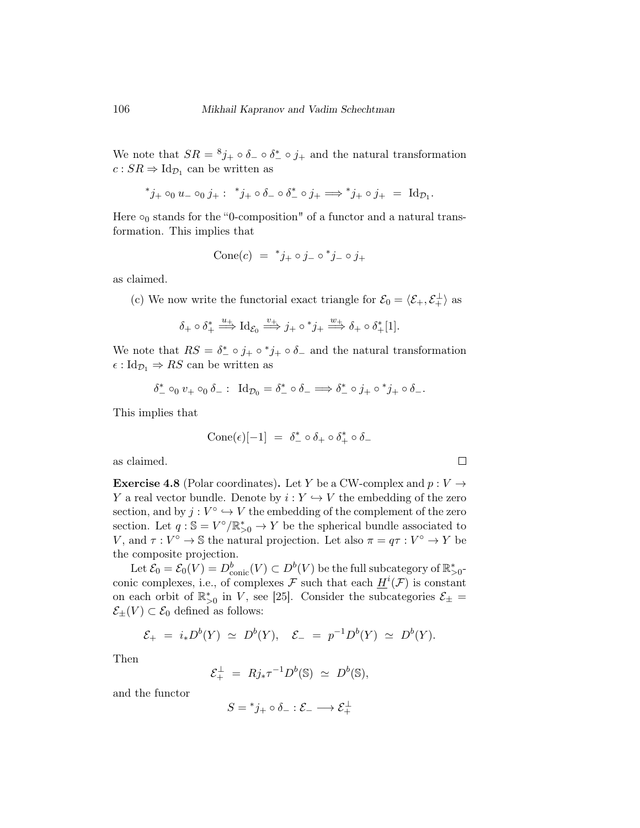We note that  $SR = {}^{8}j_+ \circ \delta_- \circ \delta_-^* \circ j_+$  and the natural transformation  $c:SR \Rightarrow \mathrm{Id}_{\mathcal{D}_1}$  can be written as

$$
j_+ \circ_0 u_- \circ_0 j_+ : i \circ j_+ \circ \delta_- \circ j_+ \Longrightarrow i_+ \circ j_+ = \mathrm{Id}_{\mathcal{D}_1}.
$$

Here  $\circ_0$  stands for the "0-composition" of a functor and a natural transformation. This implies that

$$
Cone(c) = {}^*j_+ \circ j_- \circ {}^*j_- \circ j_+
$$

as claimed.

(c) We now write the functorial exact triangle for  $\mathcal{E}_0 = \langle \mathcal{E}_+, \mathcal{E}_+^{\perp} \rangle$  as

$$
\delta_+\circ\delta_+^*\stackrel{u_+}{\Longrightarrow}\mathrm{Id}_{\mathcal{E}_0}\stackrel{v_+}{\Longrightarrow}j_+\circ^*j_+\stackrel{w_+}{\Longrightarrow}\delta_+\circ\delta_+^*[1].
$$

We note that  $RS = \delta^*_- \circ j_+ \circ j_+ \circ \delta_-$  and the natural transformation  $\epsilon : \mathrm{Id}_{\mathcal{D}_1} \Rightarrow RS$  can be written as

$$
\delta^{\ast}_-\circ_0 v_+\circ_0 \delta_-\,\colon\;\operatorname{Id}\nolimits_{{\mathcal D}_0}=\delta^{\ast}_-\circ \delta_-\Longrightarrow \delta^{\ast}_-\circ j_+\circ {^{\ast}j_+\circ \delta_-}.
$$

This implies that

$$
Cone(\epsilon)[-1] = \delta^*_- \circ \delta_+ \circ \delta^*_+ \circ \delta_-
$$

 $\Box$ 

as claimed.

**Exercise 4.8** (Polar coordinates). Let Y be a CW-complex and  $p: V \rightarrow$ Y a real vector bundle. Denote by  $i: Y \hookrightarrow V$  the embedding of the zero section, and by  $j: V^{\circ} \hookrightarrow V$  the embedding of the complement of the zero section. Let  $q : \mathbb{S} = V^{\circ}/\mathbb{R}_{>0}^* \to Y$  be the spherical bundle associated to V, and  $\tau : V^{\circ} \to \mathbb{S}$  the natural projection. Let also  $\pi = q\tau : V^{\circ} \to Y$  be the composite projection.

Let  $\mathcal{E}_0 = \mathcal{E}_0(V) = D^b_{\text{conic}}(V) \subset D^b(V)$  be the full subcategory of  $\mathbb{R}^*_{>0}$ conic complexes, i.e., of complexes F such that each  $\underline{H}^i(\mathcal{F})$  is constant on each orbit of  $\mathbb{R}_{>0}^*$  in V, see [25]. Consider the subcategories  $\mathcal{E}_{\pm} =$  $\mathcal{E}_{\pm}(V) \subset \mathcal{E}_0$  defined as follows:

$$
\mathcal{E}_+ = i_* D^b(Y) \simeq D^b(Y), \quad \mathcal{E}_- = p^{-1} D^b(Y) \simeq D^b(Y).
$$

Then

$$
\mathcal{E}_+^{\perp} = Rj_* \tau^{-1} D^b(\mathbb{S}) \simeq D^b(\mathbb{S}),
$$

and the functor

$$
S = {}^*j_+ \circ \delta_- : \mathcal{E}_- \longrightarrow \mathcal{E}_+^\perp
$$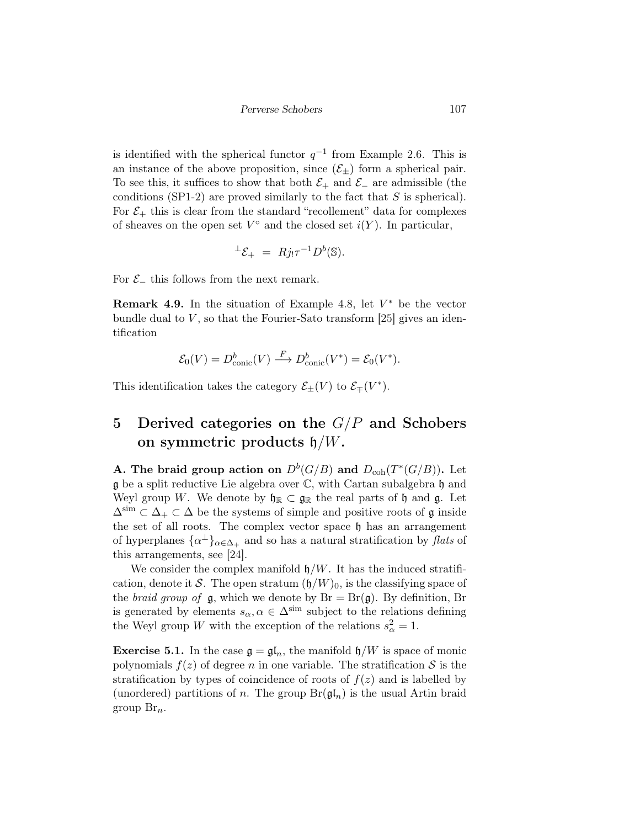is identified with the spherical functor  $q^{-1}$  from Example 2.6. This is an instance of the above proposition, since  $(\mathcal{E}_{\pm})$  form a spherical pair. To see this, it suffices to show that both  $\mathcal{E}_+$  and  $\mathcal{E}_-$  are admissible (the conditions (SP1-2) are proved similarly to the fact that  $S$  is spherical). For  $\mathcal{E}_+$  this is clear from the standard "recollement" data for complexes of sheaves on the open set  $V^{\circ}$  and the closed set  $i(Y)$ . In particular,

$$
{}^{\perp}\mathcal{E}_{+} = Rj_{!}\tau^{-1}D^{b}(\mathbb{S}).
$$

For  $\mathcal{E}_-$  this follows from the next remark.

**Remark 4.9.** In the situation of Example 4.8, let  $V^*$  be the vector bundle dual to  $V$ , so that the Fourier-Sato transform [25] gives an identification

$$
\mathcal{E}_0(V) = D_{\text{conic}}^b(V) \xrightarrow{F} D_{\text{conic}}^b(V^*) = \mathcal{E}_0(V^*).
$$

This identification takes the category  $\mathcal{E}_{\pm}(V)$  to  $\mathcal{E}_{\mp}(V^*).$ 

## 5 Derived categories on the  $G/P$  and Schobers on symmetric products  $\mathfrak{h}/W$ .

A. The braid group action on  $D^b(G/B)$  and  $D_{coh}(T^*(G/B))$ . Let  $\mathfrak g$  be a split reductive Lie algebra over  $\mathbb C$ , with Cartan subalgebra  $\mathfrak h$  and Weyl group W. We denote by  $\mathfrak{h}_\mathbb{R} \subset \mathfrak{g}_\mathbb{R}$  the real parts of  $\mathfrak{h}$  and  $\mathfrak{g}$ . Let  $\Delta^{\text{sim}} \subset \Delta_+ \subset \Delta$  be the systems of simple and positive roots of g inside the set of all roots. The complex vector space  $\mathfrak h$  has an arrangement of hyperplanes  $\{\alpha^{\perp}\}_{\alpha \in \Delta_+}$  and so has a natural stratification by *flats* of this arrangements, see [24].

We consider the complex manifold  $\mathfrak{h}/W$ . It has the induced stratification, denote it S. The open stratum  $({\mathfrak h}/W)_{0}$ , is the classifying space of the *braid group of*  $\mathfrak{g}$ , which we denote by  $Br = Br(\mathfrak{g})$ . By definition, Br is generated by elements  $s_{\alpha}, \alpha \in \Delta^{\text{sim}}$  subject to the relations defining the Weyl group W with the exception of the relations  $s^2_{\alpha} = 1$ .

**Exercise 5.1.** In the case  $\mathfrak{g} = \mathfrak{gl}_n$ , the manifold  $\mathfrak{h}/W$  is space of monic polynomials  $f(z)$  of degree n in one variable. The stratification S is the stratification by types of coincidence of roots of  $f(z)$  and is labelled by (unordered) partitions of n. The group  $Br(\mathfrak{gl}_n)$  is the usual Artin braid group  $\mathrm{Br}_n$ .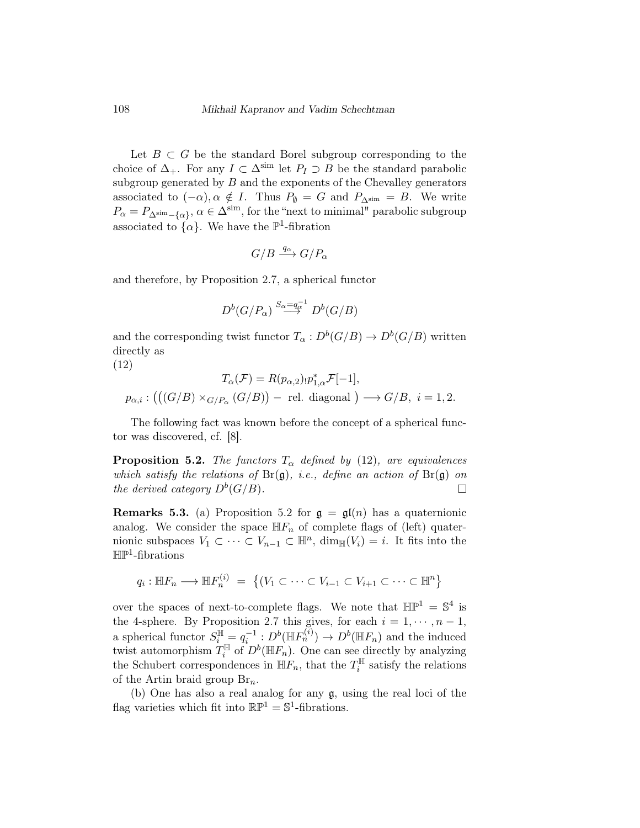Let  $B \subset G$  be the standard Borel subgroup corresponding to the choice of  $\Delta_+$ . For any  $I \subset \Delta^{\text{sim}}$  let  $P_I \supset B$  be the standard parabolic subgroup generated by  $B$  and the exponents of the Chevalley generators associated to  $(-\alpha)$ ,  $\alpha \notin I$ . Thus  $P_{\emptyset} = G$  and  $P_{\Delta^{\text{sim}}} = B$ . We write  $P_{\alpha} = P_{\Delta^{\text{sim}} - {\alpha}$ ,  $\alpha \in \Delta^{\text{sim}}$ , for the "next to minimal" parabolic subgroup associated to  $\{\alpha\}$ . We have the  $\mathbb{P}^1$ -fibration

$$
G/B \xrightarrow{q_{\alpha}} G/P_{\alpha}
$$

and therefore, by Proposition 2.7, a spherical functor

$$
D^b(G/P_\alpha) \stackrel{S_\alpha = q_\alpha^{-1}}{\longrightarrow} D^b(G/B)
$$

and the corresponding twist functor  $T_{\alpha}: D^b(G/B) \to D^b(G/B)$  written directly as

(12)

$$
T_{\alpha}(\mathcal{F}) = R(p_{\alpha,2}) \cdot p_{1,\alpha}^{*} \mathcal{F}[-1],
$$
  

$$
p_{\alpha,i} : (((G/B) \times_{G/P_{\alpha}} (G/B)) - \text{ rel. diagonal}) \longrightarrow G/B, \ i = 1, 2.
$$

The following fact was known before the concept of a spherical functor was discovered, cf. [8].

**Proposition 5.2.** The functors  $T_{\alpha}$  defined by (12), are equivalences which satisfy the relations of  $Br(\mathfrak{g})$ , i.e., define an action of  $Br(\mathfrak{g})$  on the derived category  $D^b(G/B)$ .  $\Box$ 

**Remarks 5.3.** (a) Proposition 5.2 for  $\mathfrak{g} = \mathfrak{gl}(n)$  has a quaternionic analog. We consider the space  $\mathbb{H}F_n$  of complete flags of (left) quaternionic subspaces  $V_1 \subset \cdots \subset V_{n-1} \subset \mathbb{H}^n$ ,  $\dim_{\mathbb{H}}(V_i) = i$ . It fits into the  $\mathbb{HP}^1$ -fibrations

$$
q_i: \mathbb{H}F_n \longrightarrow \mathbb{H}F_n^{(i)} = \{(V_1 \subset \cdots \subset V_{i-1} \subset V_{i+1} \subset \cdots \subset \mathbb{H}^n\}
$$

over the spaces of next-to-complete flags. We note that  $\mathbb{HP}^1 = \mathbb{S}^4$  is the 4-sphere. By Proposition 2.7 this gives, for each  $i = 1, \dots, n - 1$ , a spherical functor  $S_i^{\mathbb{H}} = q_i^{-1} : D^b(\mathbb{H}F_n^{(i)}) \to D^b(\mathbb{H}F_n)$  and the induced twist automorphism  $T_i^{\mathbb{H}}$  $\mathbb{I}_i^{\mathbb{H}}$  of  $D^b(\mathbb{H}F_n)$ . One can see directly by analyzing the Schubert correspondences in  $\mathbb{H}F_n$ , that the  $T_i^{\mathbb{H}}$  $i^{\text{min}}$  satisfy the relations of the Artin braid group  $\mathrm{Br}_n$ .

(b) One has also a real analog for any g, using the real loci of the flag varieties which fit into  $\mathbb{RP}^1 = \mathbb{S}^1$ -fibrations.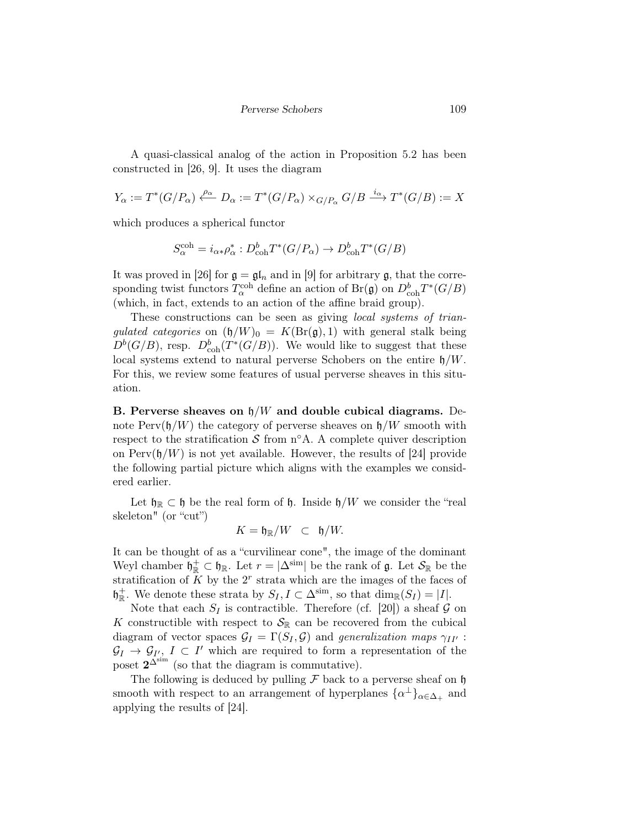A quasi-classical analog of the action in Proposition 5.2 has been constructed in [26, 9]. It uses the diagram

$$
Y_{\alpha} := T^*(G/P_{\alpha}) \xleftarrow{\rho_{\alpha}} D_{\alpha} := T^*(G/P_{\alpha}) \times_{G/P_{\alpha}} G/B \xrightarrow{i_{\alpha}} T^*(G/B) := X
$$

which produces a spherical functor

$$
S_{\alpha}^{\text{coh}} = i_{\alpha *} \rho_{\alpha}^* : D_{\text{coh}}^b T^*(G/P_{\alpha}) \to D_{\text{coh}}^b T^*(G/B)
$$

It was proved in [26] for  $\mathfrak{g} = \mathfrak{gl}_n$  and in [9] for arbitrary g, that the corresponding twist functors  $T_{\alpha}^{\text{coh}}$  define an action of  $Br(\mathfrak{g})$  on  $D^b_{\text{coh}}T^*(G/B)$ (which, in fact, extends to an action of the affine braid group).

These constructions can be seen as giving *local systems of trian*gulated categories on  $(\mathfrak{h}/W)_{0} = K(\text{Br}(\mathfrak{g}), 1)$  with general stalk being  $D^{b}(G/B)$ , resp.  $D_{\rm coh}^{b}(T^{*}(G/B))$ . We would like to suggest that these local systems extend to natural perverse Schobers on the entire  $\mathfrak{h}/W$ . For this, we review some features of usual perverse sheaves in this situation.

B. Perverse sheaves on  $\frac{h}{W}$  and double cubical diagrams. Denote  $Perv(\mathfrak{h}/W)$  the category of perverse sheaves on  $\mathfrak{h}/W$  smooth with respect to the stratification  $S$  from n $\Omega$ . A complete quiver description on  $Perv(\mathfrak{h}/W)$  is not yet available. However, the results of [24] provide the following partial picture which aligns with the examples we considered earlier.

Let  $\mathfrak{h}_{\mathbb{R}} \subset \mathfrak{h}$  be the real form of  $\mathfrak{h}$ . Inside  $\mathfrak{h}/W$  we consider the "real skeleton" (or "cut")

$$
K = \mathfrak{h}_{\mathbb{R}}/W \subset \mathfrak{h}/W.
$$

It can be thought of as a "curvilinear cone", the image of the dominant Weyl chamber  $\mathfrak{h}_{\mathbb{R}}^+ \subset \mathfrak{h}_{\mathbb{R}}$ . Let  $r = |\Delta^{\text{sim}}|$  be the rank of  $\mathfrak{g}$ . Let  $\mathcal{S}_{\mathbb{R}}$  be the stratification of  $\tilde{K}$  by the  $2^r$  strata which are the images of the faces of  $\mathfrak{h}_{\mathbb{R}}^+$ . We denote these strata by  $S_I, I \subset \Delta^{\text{sim}}$ , so that  $\dim_{\mathbb{R}}(S_I) = |I|$ .

Note that each  $S_I$  is contractible. Therefore (cf. [20]) a sheaf  $G$  on K constructible with respect to  $\mathcal{S}_{\mathbb{R}}$  can be recovered from the cubical diagram of vector spaces  $\mathcal{G}_I = \Gamma(S_I, \mathcal{G})$  and generalization maps  $\gamma_{II'}$ :  $\mathcal{G}_I \to \mathcal{G}_{I'}, I \subset I'$  which are required to form a representation of the poset  $2^{\Delta^{\text{sim}}}$  (so that the diagram is commutative).

The following is deduced by pulling  $\mathcal F$  back to a perverse sheaf on  $\mathfrak h$ smooth with respect to an arrangement of hyperplanes  $\{\alpha^{\perp}\}_{\alpha \in \Delta_+}$  and applying the results of [24].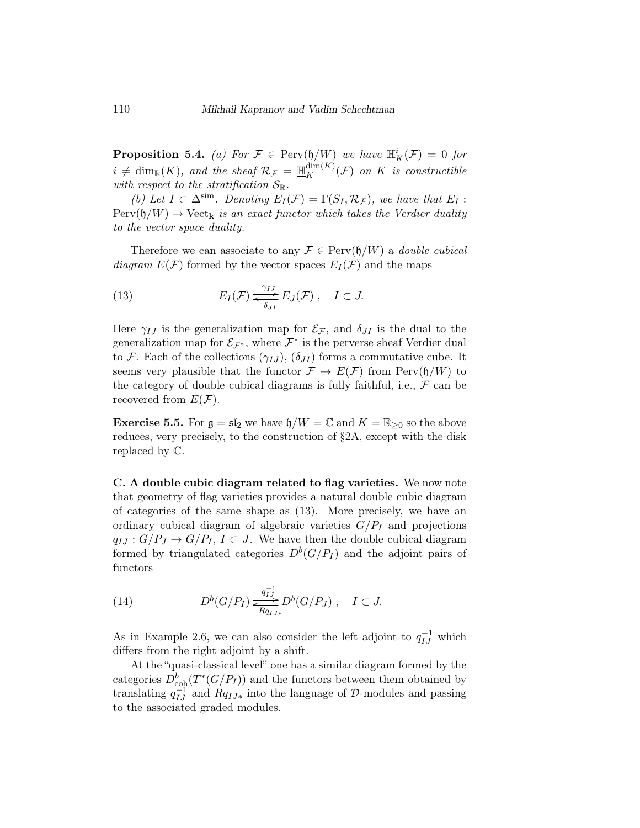**Proposition 5.4.** (a) For  $\mathcal{F} \in \text{Perv}(\mathfrak{h}/W)$  we have  $\mathbb{H}_K^i(\mathcal{F}) = 0$  for  $i \neq \dim_{\mathbb{R}}(K)$ , and the sheaf  $\mathcal{R}_{\mathcal{F}} = \mathbb{H}_K^{\dim(K)}(\mathcal{F})$  on K is constructible with respect to the stratification  $S_{\mathbb{R}}$ .

(b) Let  $I \subset \Delta^{\text{sim}}$ . Denoting  $E_I(\mathcal{F}) = \Gamma(S_I, \mathcal{R}_{\mathcal{F}})$ , we have that  $E_I$ :  $Perv(\mathfrak{h}/W) \to Vect_{\mathbf{k}}$  is an exact functor which takes the Verdier duality to the vector space duality.  $\Box$ 

Therefore we can associate to any  $\mathcal{F} \in \text{Perv}(\mathfrak{h}/W)$  a *double cubical* diagram  $E(\mathcal{F})$  formed by the vector spaces  $E_I(\mathcal{F})$  and the maps

(13) 
$$
E_I(\mathcal{F}) \xrightarrow{\gamma_{IJ}} E_J(\mathcal{F}), \quad I \subset J.
$$

Here  $\gamma_{IJ}$  is the generalization map for  $\mathcal{E}_{\mathcal{F}}$ , and  $\delta_{JI}$  is the dual to the generalization map for  $\mathcal{E}_{\mathcal{F}^*}$ , where  $\mathcal{F}^*$  is the perverse sheaf Verdier dual to F. Each of the collections  $(\gamma_{IJ})$ ,  $(\delta_{JI})$  forms a commutative cube. It seems very plausible that the functor  $\mathcal{F} \mapsto E(\mathcal{F})$  from  $\text{Perv}(\mathfrak{h}/W)$  to the category of double cubical diagrams is fully faithful, i.e.,  $\mathcal F$  can be recovered from  $E(\mathcal{F})$ .

**Exercise 5.5.** For  $\mathfrak{g} = \mathfrak{sl}_2$  we have  $\mathfrak{h}/W = \mathbb{C}$  and  $K = \mathbb{R}_{\geq 0}$  so the above reduces, very precisely, to the construction of §2A, except with the disk replaced by C.

C. A double cubic diagram related to flag varieties. We now note that geometry of flag varieties provides a natural double cubic diagram of categories of the same shape as (13). More precisely, we have an ordinary cubical diagram of algebraic varieties  $G/P_I$  and projections  $q_{IJ}: G/P_J \to G/P_I$ ,  $I \subset J$ . We have then the double cubical diagram formed by triangulated categories  $D^{b}(G/P_I)$  and the adjoint pairs of functors

(14) 
$$
D^{b}(G/P_{I}) \underset{Rq_{IJ*}}{\overset{q_{IJ}^{-1}}{\rightleftharpoons}} D^{b}(G/P_{J}), \quad I \subset J.
$$

As in Example 2.6, we can also consider the left adjoint to  $q_{IJ}^{-1}$  which differs from the right adjoint by a shift.

At the "quasi-classical level" one has a similar diagram formed by the categories  $D^b_{\text{coh}}(T^*(G/P_I))$  and the functors between them obtained by translating  $q_{IJ}^{-1}$  and  $Rq_{IJ*}$  into the language of D-modules and passing to the associated graded modules.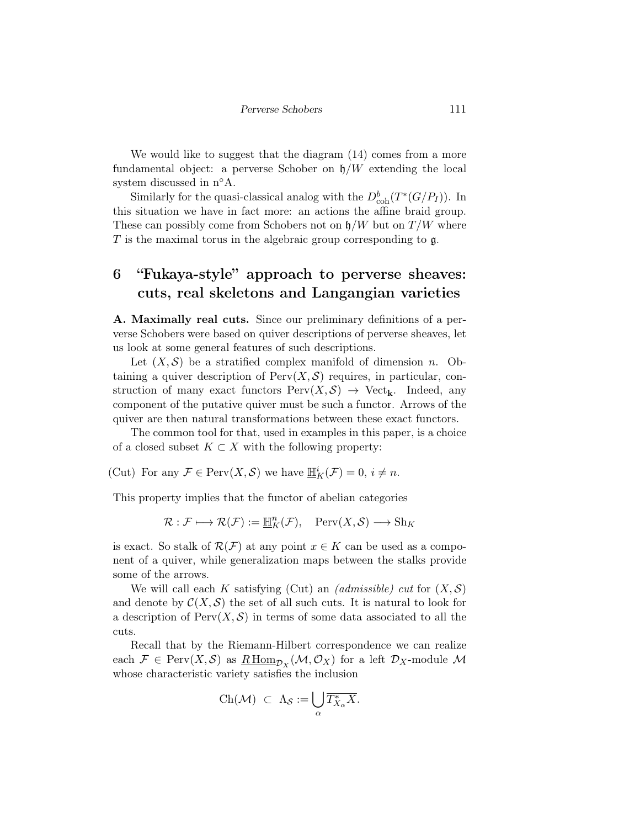We would like to suggest that the diagram (14) comes from a more fundamental object: a perverse Schober on  $\mathfrak{h}/W$  extending the local system discussed in n°A.

Similarly for the quasi-classical analog with the  $D_{\rm coh}^b(T^*(G/P_I))$ . In this situation we have in fact more: an actions the affine braid group. These can possibly come from Schobers not on  $\mathfrak{h}/W$  but on  $T/W$  where  $T$  is the maximal torus in the algebraic group corresponding to  $\mathfrak{g}$ .

# 6 "Fukaya-style" approach to perverse sheaves: cuts, real skeletons and Langangian varieties

A. Maximally real cuts. Since our preliminary definitions of a perverse Schobers were based on quiver descriptions of perverse sheaves, let us look at some general features of such descriptions.

Let  $(X, \mathcal{S})$  be a stratified complex manifold of dimension n. Obtaining a quiver description of  $Perv(X, \mathcal{S})$  requires, in particular, construction of many exact functors  $Perv(X, S) \rightarrow Vect_{\mathbf{k}}$ . Indeed, any component of the putative quiver must be such a functor. Arrows of the quiver are then natural transformations between these exact functors.

The common tool for that, used in examples in this paper, is a choice of a closed subset  $K \subset X$  with the following property:

(Cut) For any  $\mathcal{F} \in \text{Perv}(X, \mathcal{S})$  we have  $\underline{\mathbb{H}}_K^i(\mathcal{F}) = 0, i \neq n$ .

This property implies that the functor of abelian categories

 $\mathcal{R}: \mathcal{F} \longmapsto \mathcal{R}(\mathcal{F}) := \mathbb{H}_K^n(\mathcal{F}), \quad \text{Perv}(X, \mathcal{S}) \longrightarrow \text{Sh}_K$ 

is exact. So stalk of  $\mathcal{R}(\mathcal{F})$  at any point  $x \in K$  can be used as a component of a quiver, while generalization maps between the stalks provide some of the arrows.

We will call each K satisfying (Cut) an *(admissible)* cut for  $(X, \mathcal{S})$ and denote by  $\mathcal{C}(X,\mathcal{S})$  the set of all such cuts. It is natural to look for a description of  $Perv(X, \mathcal{S})$  in terms of some data associated to all the cuts.

Recall that by the Riemann-Hilbert correspondence we can realize each  $\mathcal{F} \in \text{Perv}(X, \mathcal{S})$  as  $\underline{R\text{ Hom}}_{\mathcal{D}_X}(\mathcal{M}, \mathcal{O}_X)$  for a left  $\mathcal{D}_X$ -module  $\mathcal M$ whose characteristic variety satisfies the inclusion

$$
\mathrm{Ch}(\mathcal{M}) \ \subset \ \Lambda_{\mathcal{S}} := \bigcup_{\alpha} \overline{T_{X_{\alpha}}^{*} X}.
$$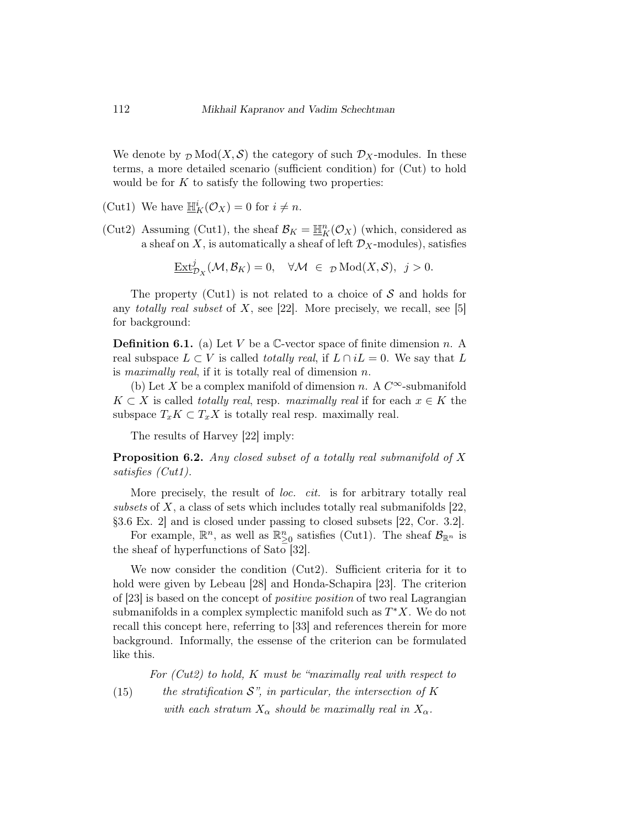We denote by  $\mathcal{D} \text{Mod}(X, \mathcal{S})$  the category of such  $\mathcal{D}_X$ -modules. In these terms, a more detailed scenario (sufficient condition) for (Cut) to hold would be for  $K$  to satisfy the following two properties:

- (Cut1) We have  $\underline{\mathbb{H}}_K^i(\mathcal{O}_X) = 0$  for  $i \neq n$ .
- (Cut2) Assuming (Cut1), the sheaf  $\mathcal{B}_K = \mathbb{H}_K^n(\mathcal{O}_X)$  (which, considered as a sheaf on  $X$ , is automatically a sheaf of left  $\mathcal{D}_X$ -modules), satisfies

$$
\underline{\operatorname{Ext}}^j_{{\mathcal D}_X}({\mathcal M},{\mathcal B}_K)=0,\quad \forall {\mathcal M}\ \in \ _{\mathcal D}{\rm Mod}(X,{\mathcal S}),\ \ j>0.
$$

The property (Cut1) is not related to a choice of  $S$  and holds for any *totally real subset* of X, see [22]. More precisely, we recall, see [5] for background:

**Definition 6.1.** (a) Let V be a  $\mathbb{C}$ -vector space of finite dimension n. A real subspace  $L \subset V$  is called *totally real*, if  $L \cap iL = 0$ . We say that L is maximally real, if it is totally real of dimension  $n$ .

(b) Let X be a complex manifold of dimension n. A  $C^{\infty}$ -submanifold  $K \subset X$  is called totally real, resp. maximally real if for each  $x \in K$  the subspace  $T_xK \subset T_xX$  is totally real resp. maximally real.

The results of Harvey [22] imply:

**Proposition 6.2.** Any closed subset of a totally real submanifold of  $X$ satisfies (Cut1).

More precisely, the result of *loc. cit.* is for arbitrary totally real subsets of X, a class of sets which includes totally real submanifolds  $[22]$ , §3.6 Ex. 2] and is closed under passing to closed subsets [22, Cor. 3.2].

For example,  $\mathbb{R}^n$ , as well as  $\mathbb{R}^n_{\geq 0}$  satisfies (Cut1). The sheaf  $\mathcal{B}_{\mathbb{R}^n}$  is the sheaf of hyperfunctions of Sato [32].

We now consider the condition (Cut2). Sufficient criteria for it to hold were given by Lebeau [28] and Honda-Schapira [23]. The criterion of [23] is based on the concept of positive position of two real Lagrangian submanifolds in a complex symplectic manifold such as  $T^*X$ . We do not recall this concept here, referring to [33] and references therein for more background. Informally, the essense of the criterion can be formulated like this.

For (Cut2) to hold, K must be "maximally real with respect to

(15) the stratification  $\mathcal{S}$ ", in particular, the intersection of K with each stratum  $X_{\alpha}$  should be maximally real in  $X_{\alpha}$ .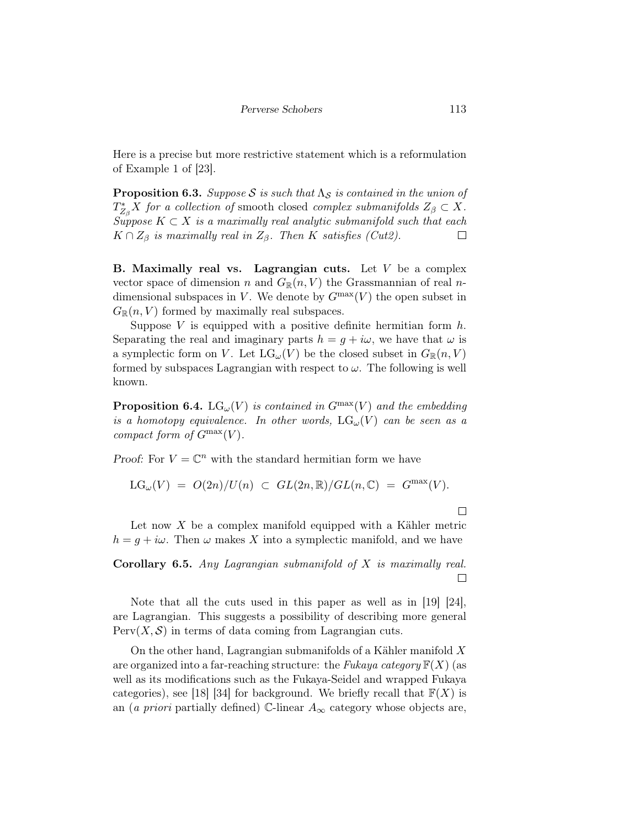Here is a precise but more restrictive statement which is a reformulation of Example 1 of [23].

**Proposition 6.3.** Suppose S is such that  $\Lambda_{\mathcal{S}}$  is contained in the union of  $T_{Z_{\beta}}^{*}X$  for a collection of smooth closed complex submanifolds  $Z_{\beta} \subset X$ . Suppose  $K \subset X$  is a maximally real analytic submanifold such that each  $K \cap Z_{\beta}$  is maximally real in  $Z_{\beta}$ . Then K satisfies (Cut2).  $\Box$ 

**B.** Maximally real vs. Lagrangian cuts. Let  $V$  be a complex vector space of dimension n and  $G_{\mathbb{R}}(n, V)$  the Grassmannian of real ndimensional subspaces in V. We denote by  $G<sup>max</sup>(V)$  the open subset in  $G_{\mathbb{R}}(n, V)$  formed by maximally real subspaces.

Suppose V is equipped with a positive definite hermitian form  $h$ . Separating the real and imaginary parts  $h = g + i\omega$ , we have that  $\omega$  is a symplectic form on V. Let  $LG_{\omega}(V)$  be the closed subset in  $G_{\mathbb{R}}(n, V)$ formed by subspaces Lagrangian with respect to  $\omega$ . The following is well known.

**Proposition 6.4.** LG<sub> $\omega$ </sub>(V) is contained in  $G^{max}(V)$  and the embedding is a homotopy equivalence. In other words,  $LG_{\omega}(V)$  can be seen as a compact form of  $G^{\max}(V)$ .

Proof: For  $V = \mathbb{C}^n$  with the standard hermitian form we have

$$
LG_{\omega}(V) \ = \ O(2n)/U(n) \ \subset \ GL(2n,{\mathbb R})/GL(n,{\mathbb C}) \ = \ G^{\max}(V).
$$

 $\Box$ 

Let now  $X$  be a complex manifold equipped with a Kähler metric  $h = g + i\omega$ . Then  $\omega$  makes X into a symplectic manifold, and we have

Corollary 6.5. Any Lagrangian submanifold of  $X$  is maximally real.  $\Box$ 

Note that all the cuts used in this paper as well as in [19] [24], are Lagrangian. This suggests a possibility of describing more general  $Perv(X, \mathcal{S})$  in terms of data coming from Lagrangian cuts.

On the other hand, Lagrangian submanifolds of a Kähler manifold  $X$ are organized into a far-reaching structure: the Fukaya category  $\mathbb{F}(X)$  (as well as its modifications such as the Fukaya-Seidel and wrapped Fukaya categories), see [18] [34] for background. We briefly recall that  $\mathbb{F}(X)$  is an (a priori partially defined) C-linear  $A_{\infty}$  category whose objects are,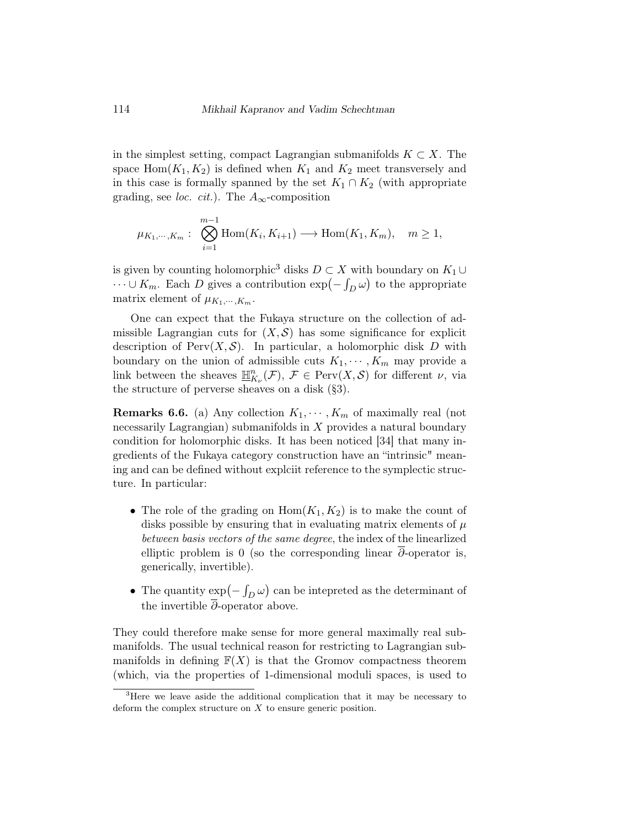in the simplest setting, compact Lagrangian submanifolds  $K \subset X$ . The space  $Hom(K_1, K_2)$  is defined when  $K_1$  and  $K_2$  meet transversely and in this case is formally spanned by the set  $K_1 \cap K_2$  (with appropriate grading, see *loc. cit.*). The  $A_{\infty}$ -composition

$$
\mu_{K_1,\dots,K_m}: \bigotimes_{i=1}^{m-1} \text{Hom}(K_i,K_{i+1}) \longrightarrow \text{Hom}(K_1,K_m), \quad m \ge 1,
$$

is given by counting holomorphic<sup>3</sup> disks  $D \subset X$  with boundary on  $K_1 \cup$  $\dots \cup K_m$ . Each D gives a contribution  $\exp(-\int_D \omega)$  to the appropriate matrix element of  $\mu_{K_1,\dots,K_m}$ .

One can expect that the Fukaya structure on the collection of admissible Lagrangian cuts for  $(X, \mathcal{S})$  has some significance for explicit description of  $Perv(X, \mathcal{S})$ . In particular, a holomorphic disk D with boundary on the union of admissible cuts  $K_1, \dots, K_m$  may provide a link between the sheaves  $\mathbb{H}^n_{K_{\nu}}(\mathcal{F}), \mathcal{F} \in \text{Perv}(X, \mathcal{S})$  for different  $\nu$ , via the structure of perverse sheaves on a disk (§3).

**Remarks 6.6.** (a) Any collection  $K_1, \dots, K_m$  of maximally real (not necessarily Lagrangian) submanifolds in X provides a natural boundary condition for holomorphic disks. It has been noticed [34] that many ingredients of the Fukaya category construction have an "intrinsic" meaning and can be defined without explciit reference to the symplectic structure. In particular:

- The role of the grading on  $Hom(K_1, K_2)$  is to make the count of disks possible by ensuring that in evaluating matrix elements of  $\mu$ between basis vectors of the same degree, the index of the linearlized elliptic problem is 0 (so the corresponding linear  $\partial$ -operator is, generically, invertible).
- The quantity  $\exp(-\int_D \omega)$  can be intepreted as the determinant of the invertible  $\overline{\partial}$ -operator above.

They could therefore make sense for more general maximally real submanifolds. The usual technical reason for restricting to Lagrangian submanifolds in defining  $F(X)$  is that the Gromov compactness theorem (which, via the properties of 1-dimensional moduli spaces, is used to

<sup>&</sup>lt;sup>3</sup>Here we leave aside the additional complication that it may be necessary to deform the complex structure on  $X$  to ensure generic position.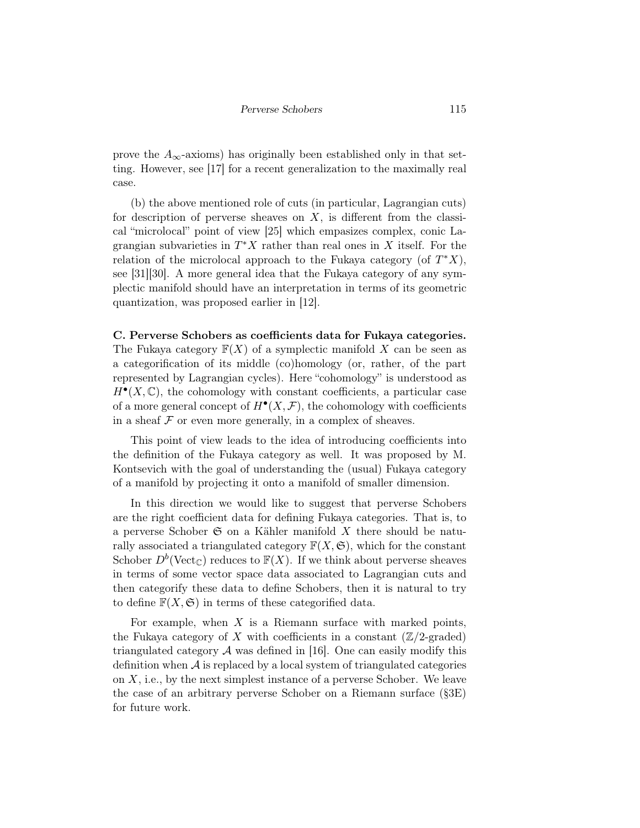prove the  $A_{\infty}$ -axioms) has originally been established only in that setting. However, see [17] for a recent generalization to the maximally real case.

(b) the above mentioned role of cuts (in particular, Lagrangian cuts) for description of perverse sheaves on  $X$ , is different from the classical "microlocal" point of view [25] which empasizes complex, conic Lagrangian subvarieties in  $T^*X$  rather than real ones in X itself. For the relation of the microlocal approach to the Fukaya category (of  $T^*X$ ), see [31][30]. A more general idea that the Fukaya category of any symplectic manifold should have an interpretation in terms of its geometric quantization, was proposed earlier in [12].

#### C. Perverse Schobers as coefficients data for Fukaya categories.

The Fukaya category  $\mathbb{F}(X)$  of a symplectic manifold X can be seen as a categorification of its middle (co)homology (or, rather, of the part represented by Lagrangian cycles). Here "cohomology" is understood as  $H^{\bullet}(X,\mathbb{C})$ , the cohomology with constant coefficients, a particular case of a more general concept of  $H^{\bullet}(X, \mathcal{F})$ , the cohomology with coefficients in a sheaf  $\mathcal F$  or even more generally, in a complex of sheaves.

This point of view leads to the idea of introducing coefficients into the definition of the Fukaya category as well. It was proposed by M. Kontsevich with the goal of understanding the (usual) Fukaya category of a manifold by projecting it onto a manifold of smaller dimension.

In this direction we would like to suggest that perverse Schobers are the right coefficient data for defining Fukaya categories. That is, to a perverse Schober  $\mathfrak S$  on a Kähler manifold X there should be naturally associated a triangulated category  $\mathbb{F}(X,\mathfrak{S})$ , which for the constant Schober  $D^b$  (Vect<sub>C</sub>) reduces to  $F(X)$ . If we think about perverse sheaves in terms of some vector space data associated to Lagrangian cuts and then categorify these data to define Schobers, then it is natural to try to define  $\mathbb{F}(X,\mathfrak{S})$  in terms of these categorified data.

For example, when  $X$  is a Riemann surface with marked points, the Fukaya category of X with coefficients in a constant  $(\mathbb{Z}/2\text{-graded})$ triangulated category  $\mathcal A$  was defined in [16]. One can easily modify this definition when  $\mathcal A$  is replaced by a local system of triangulated categories on  $X$ , i.e., by the next simplest instance of a perverse Schober. We leave the case of an arbitrary perverse Schober on a Riemann surface (§3E) for future work.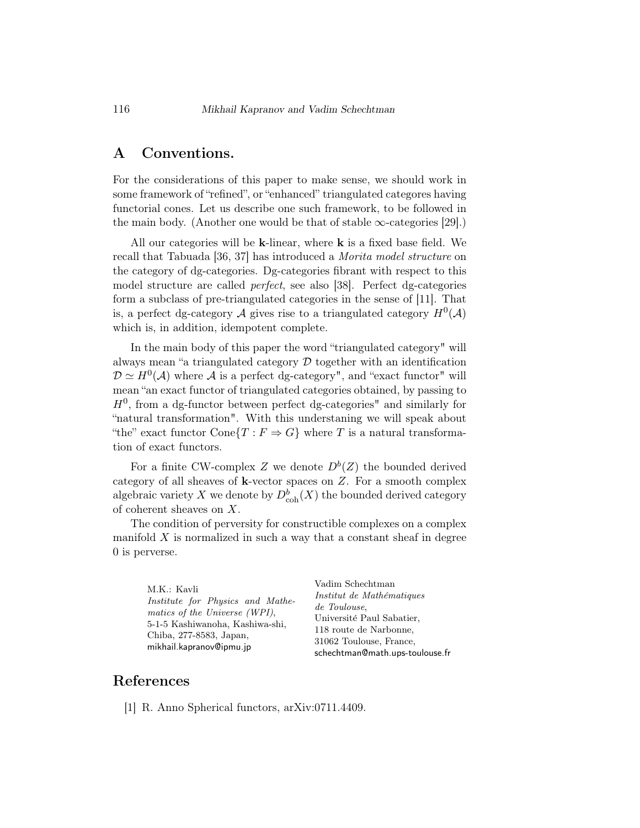## A Conventions.

For the considerations of this paper to make sense, we should work in some framework of "refined", or "enhanced" triangulated categores having functorial cones. Let us describe one such framework, to be followed in the main body. (Another one would be that of stable  $\infty$ -categories [29].)

All our categories will be  $k$ -linear, where  $k$  is a fixed base field. We recall that Tabuada [36, 37] has introduced a Morita model structure on the category of dg-categories. Dg-categories fibrant with respect to this model structure are called perfect, see also [38]. Perfect dg-categories form a subclass of pre-triangulated categories in the sense of [11]. That is, a perfect dg-category A gives rise to a triangulated category  $H^0(\mathcal{A})$ which is, in addition, idempotent complete.

In the main body of this paper the word "triangulated category" will always mean "a triangulated category  $D$  together with an identification  $\mathcal{D} \simeq H^0(\mathcal{A})$  where  $\mathcal A$  is a perfect dg-category", and "exact functor" will mean "an exact functor of triangulated categories obtained, by passing to  $H<sup>0</sup>$ , from a dg-functor between perfect dg-categories" and similarly for "natural transformation". With this understaning we will speak about "the" exact functor  $Cone{T : F \Rightarrow G}$  where T is a natural transformation of exact functors.

For a finite CW-complex Z we denote  $D^b(Z)$  the bounded derived category of all sheaves of  $k$ -vector spaces on  $Z$ . For a smooth complex algebraic variety X we denote by  $D^b_{\text{coh}}(X)$  the bounded derived category of coherent sheaves on X.

The condition of perversity for constructible complexes on a complex manifold  $X$  is normalized in such a way that a constant sheaf in degree 0 is perverse.

M.K.: Kavli Institute for Physics and Mathematics of the Universe (WPI), 5-1-5 Kashiwanoha, Kashiwa-shi, Chiba, 277-8583, Japan, mikhail.kapranov@ipmu.jp

Vadim Schechtman Institut de Mathématiques de Toulouse, Université Paul Sabatier, 118 route de Narbonne, 31062 Toulouse, France, schechtman@math.ups-toulouse.fr

### References

[1] R. Anno Spherical functors, arXiv:0711.4409.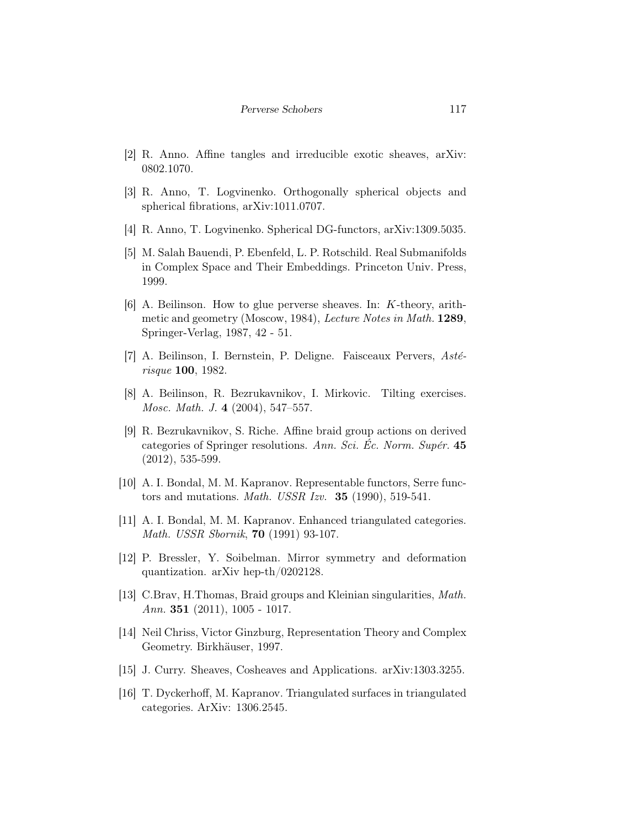- [2] R. Anno. Affine tangles and irreducible exotic sheaves, arXiv: 0802.1070.
- [3] R. Anno, T. Logvinenko. Orthogonally spherical objects and spherical fibrations, arXiv:1011.0707.
- [4] R. Anno, T. Logvinenko. Spherical DG-functors, arXiv:1309.5035.
- [5] M. Salah Bauendi, P. Ebenfeld, L. P. Rotschild. Real Submanifolds in Complex Space and Their Embeddings. Princeton Univ. Press, 1999.
- [6] A. Beilinson. How to glue perverse sheaves. In: K-theory, arithmetic and geometry (Moscow, 1984), Lecture Notes in Math. 1289, Springer-Verlag, 1987, 42 - 51.
- [7] A. Beilinson, I. Bernstein, P. Deligne. Faisceaux Pervers,  $Ast\acute{e}$ risque 100, 1982.
- [8] A. Beilinson, R. Bezrukavnikov, I. Mirkovic. Tilting exercises. Mosc. Math. J. 4 (2004), 547–557.
- [9] R. Bezrukavnikov, S. Riche. Affine braid group actions on derived categories of Springer resolutions. Ann. Sci. Ec. Norm. Supér.  $45$ (2012), 535-599.
- [10] A. I. Bondal, M. M. Kapranov. Representable functors, Serre functors and mutations. Math. USSR Izv. 35 (1990), 519-541.
- [11] A. I. Bondal, M. M. Kapranov. Enhanced triangulated categories. Math. USSR Sbornik, 70 (1991) 93-107.
- [12] P. Bressler, Y. Soibelman. Mirror symmetry and deformation quantization. arXiv hep-th/0202128.
- [13] C.Brav, H.Thomas, Braid groups and Kleinian singularities, Math. Ann. 351  $(2011)$ , 1005 - 1017.
- [14] Neil Chriss, Victor Ginzburg, Representation Theory and Complex Geometry. Birkhäuser, 1997.
- [15] J. Curry. Sheaves, Cosheaves and Applications. arXiv:1303.3255.
- [16] T. Dyckerhoff, M. Kapranov. Triangulated surfaces in triangulated categories. ArXiv: 1306.2545.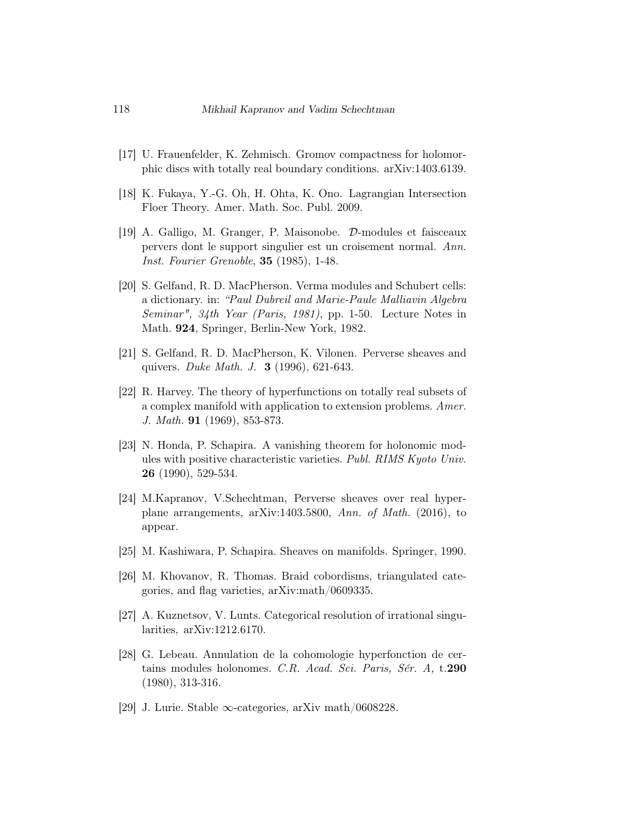- [17] U. Frauenfelder, K. Zehmisch. Gromov compactness for holomorphic discs with totally real boundary conditions. arXiv:1403.6139.
- [18] K. Fukaya, Y.-G. Oh, H. Ohta, K. Ono. Lagrangian Intersection Floer Theory. Amer. Math. Soc. Publ. 2009.
- [19] A. Galligo, M. Granger, P. Maisonobe. D-modules et faisceaux pervers dont le support singulier est un croisement normal. Ann. Inst. Fourier Grenoble, 35 (1985), 1-48.
- [20] S. Gelfand, R. D. MacPherson. Verma modules and Schubert cells: a dictionary. in: "Paul Dubreil and Marie-Paule Malliavin Algebra Seminar", 34th Year (Paris, 1981), pp. 1-50. Lecture Notes in Math. 924, Springer, Berlin-New York, 1982.
- [21] S. Gelfand, R. D. MacPherson, K. Vilonen. Perverse sheaves and quivers. Duke Math. J. 3 (1996), 621-643.
- [22] R. Harvey. The theory of hyperfunctions on totally real subsets of a complex manifold with application to extension problems. Amer. J. Math. 91 (1969), 853-873.
- [23] N. Honda, P. Schapira. A vanishing theorem for holonomic modules with positive characteristic varieties. Publ. RIMS Kyoto Univ. 26 (1990), 529-534.
- [24] M.Kapranov, V.Schechtman, Perverse sheaves over real hyperplane arrangements, arXiv:1403.5800, Ann. of Math. (2016), to appear.
- [25] M. Kashiwara, P. Schapira. Sheaves on manifolds. Springer, 1990.
- [26] M. Khovanov, R. Thomas. Braid cobordisms, triangulated categories, and flag varieties, arXiv:math/0609335.
- [27] A. Kuznetsov, V. Lunts. Categorical resolution of irrational singularities, arXiv:1212.6170.
- [28] G. Lebeau. Annulation de la cohomologie hyperfonction de certains modules holonomes. C.R. Acad. Sci. Paris, Sér. A, t.290 (1980), 313-316.
- [29] J. Lurie. Stable  $\infty$ -categories, arXiv math/0608228.